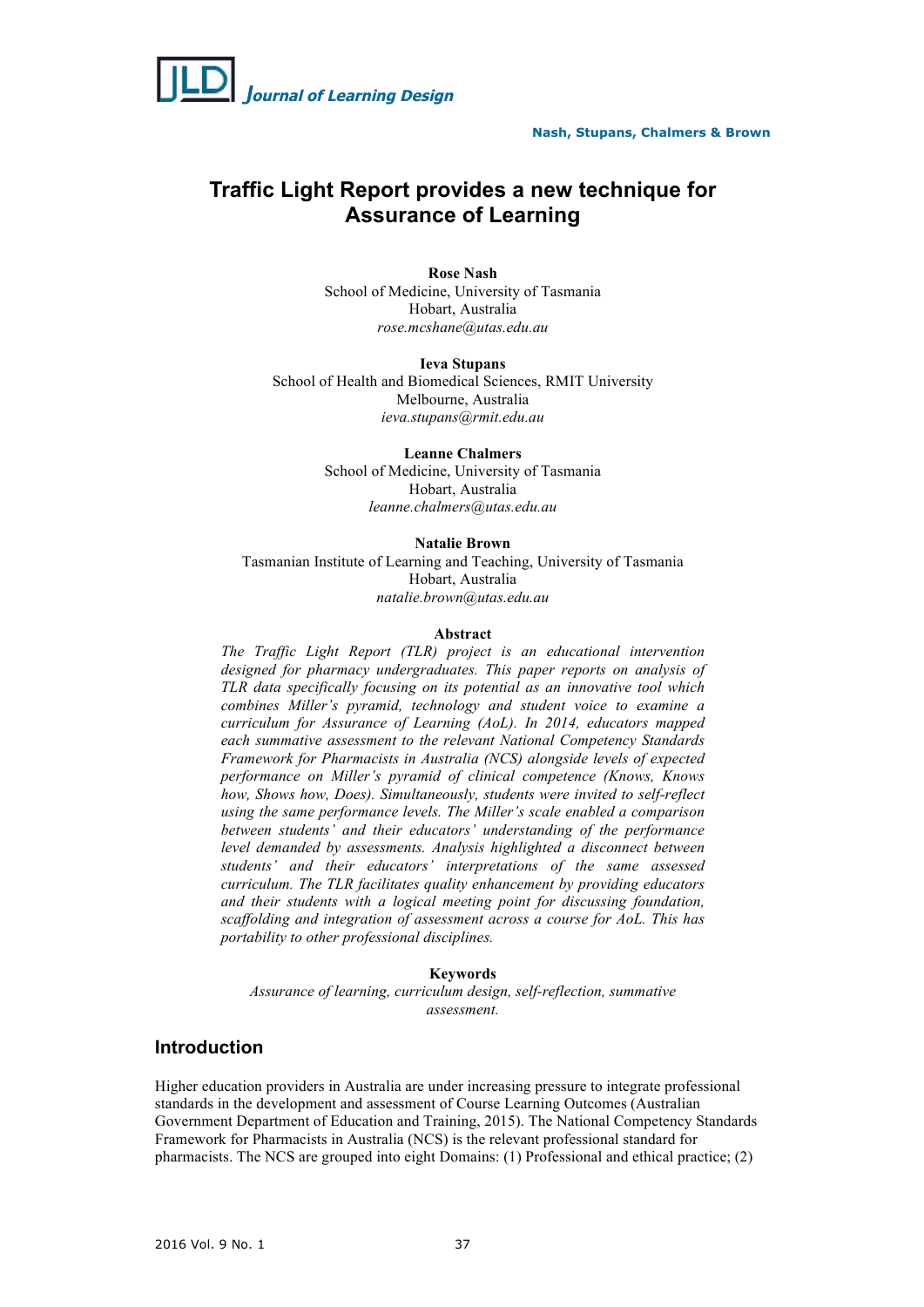

# **Traffic Light Report provides a new technique for Assurance of Learning**

**Rose Nash** School of Medicine, University of Tasmania Hobart, Australia *rose.mcshane@utas.edu.au*

**Ieva Stupans** School of Health and Biomedical Sciences, RMIT University Melbourne, Australia *ieva.stupans@rmit.edu.au*

> **Leanne Chalmers** School of Medicine, University of Tasmania Hobart, Australia *leanne.chalmers@utas.edu.au*

#### **Natalie Brown**

Tasmanian Institute of Learning and Teaching, University of Tasmania Hobart, Australia *natalie.brown@utas.edu.au*

#### **Abstract**

*The Traffic Light Report (TLR) project is an educational intervention designed for pharmacy undergraduates. This paper reports on analysis of TLR data specifically focusing on its potential as an innovative tool which combines Miller's pyramid, technology and student voice to examine a curriculum for Assurance of Learning (AoL). In 2014, educators mapped each summative assessment to the relevant National Competency Standards Framework for Pharmacists in Australia (NCS) alongside levels of expected performance on Miller's pyramid of clinical competence (Knows, Knows how, Shows how, Does). Simultaneously, students were invited to self-reflect using the same performance levels. The Miller's scale enabled a comparison between students' and their educators' understanding of the performance level demanded by assessments. Analysis highlighted a disconnect between students' and their educators' interpretations of the same assessed curriculum. The TLR facilitates quality enhancement by providing educators and their students with a logical meeting point for discussing foundation, scaffolding and integration of assessment across a course for AoL. This has portability to other professional disciplines.*

### **Keywords**

*Assurance of learning, curriculum design, self-reflection, summative assessment.*

# **Introduction**

Higher education providers in Australia are under increasing pressure to integrate professional standards in the development and assessment of Course Learning Outcomes (Australian Government Department of Education and Training, 2015). The National Competency Standards Framework for Pharmacists in Australia (NCS) is the relevant professional standard for pharmacists. The NCS are grouped into eight Domains: (1) Professional and ethical practice; (2)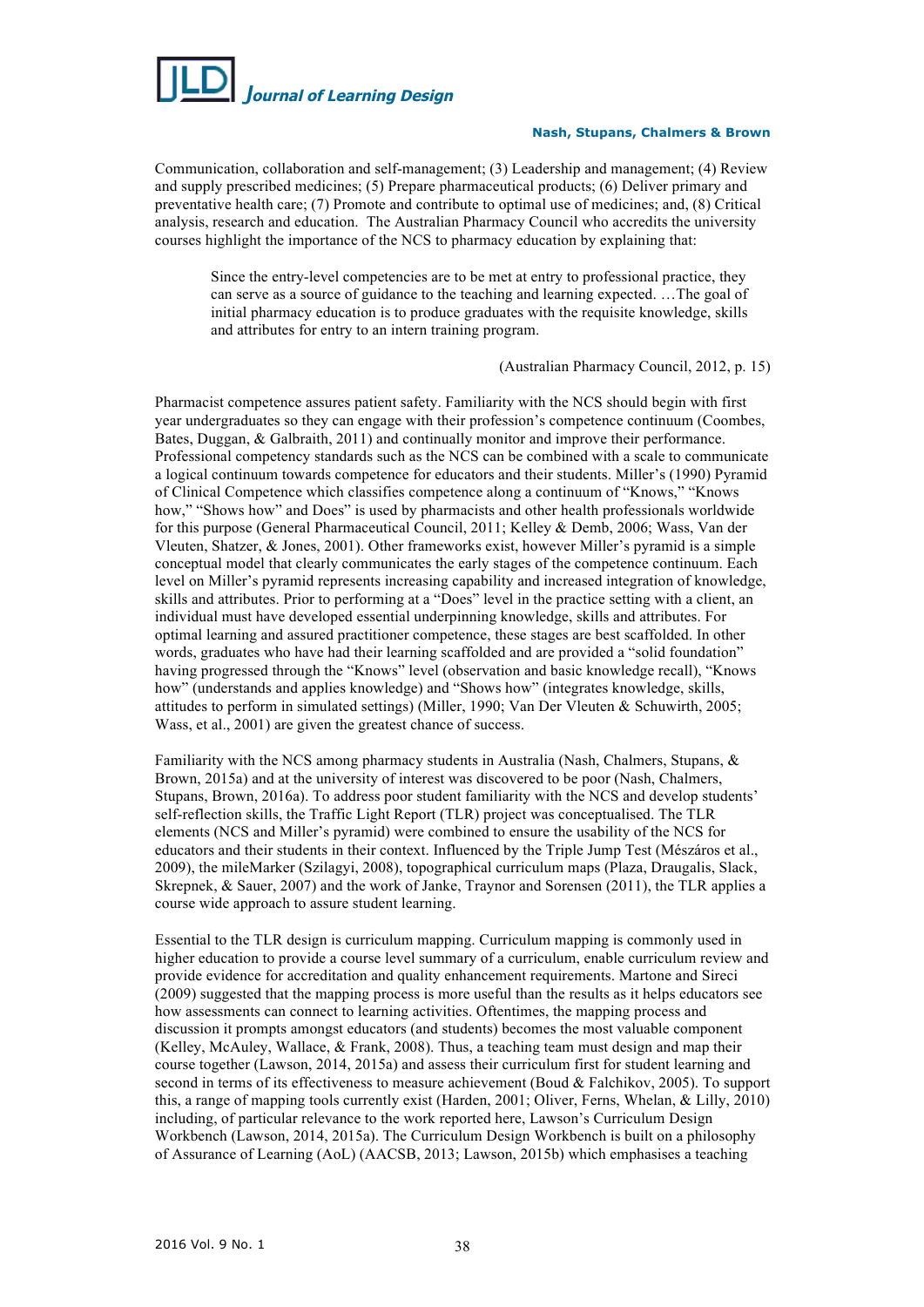

Communication, collaboration and self-management; (3) Leadership and management; (4) Review and supply prescribed medicines; (5) Prepare pharmaceutical products; (6) Deliver primary and preventative health care; (7) Promote and contribute to optimal use of medicines; and, (8) Critical analysis, research and education. The Australian Pharmacy Council who accredits the university courses highlight the importance of the NCS to pharmacy education by explaining that:

Since the entry-level competencies are to be met at entry to professional practice, they can serve as a source of guidance to the teaching and learning expected. …The goal of initial pharmacy education is to produce graduates with the requisite knowledge, skills and attributes for entry to an intern training program.

### (Australian Pharmacy Council, 2012, p. 15)

Pharmacist competence assures patient safety. Familiarity with the NCS should begin with first year undergraduates so they can engage with their profession's competence continuum (Coombes, Bates, Duggan, & Galbraith, 2011) and continually monitor and improve their performance. Professional competency standards such as the NCS can be combined with a scale to communicate a logical continuum towards competence for educators and their students. Miller's (1990) Pyramid of Clinical Competence which classifies competence along a continuum of "Knows," "Knows how," "Shows how" and Does" is used by pharmacists and other health professionals worldwide for this purpose (General Pharmaceutical Council, 2011; Kelley & Demb, 2006; Wass, Van der Vleuten, Shatzer, & Jones, 2001). Other frameworks exist, however Miller's pyramid is a simple conceptual model that clearly communicates the early stages of the competence continuum. Each level on Miller's pyramid represents increasing capability and increased integration of knowledge, skills and attributes. Prior to performing at a "Does" level in the practice setting with a client, an individual must have developed essential underpinning knowledge, skills and attributes. For optimal learning and assured practitioner competence, these stages are best scaffolded. In other words, graduates who have had their learning scaffolded and are provided a "solid foundation" having progressed through the "Knows" level (observation and basic knowledge recall), "Knows how" (understands and applies knowledge) and "Shows how" (integrates knowledge, skills, attitudes to perform in simulated settings) (Miller, 1990; Van Der Vleuten & Schuwirth, 2005; Wass, et al., 2001) are given the greatest chance of success.

Familiarity with the NCS among pharmacy students in Australia (Nash, Chalmers, Stupans, & Brown, 2015a) and at the university of interest was discovered to be poor (Nash, Chalmers, Stupans, Brown, 2016a). To address poor student familiarity with the NCS and develop students' self-reflection skills, the Traffic Light Report (TLR) project was conceptualised. The TLR elements (NCS and Miller's pyramid) were combined to ensure the usability of the NCS for educators and their students in their context. Influenced by the Triple Jump Test (Mészáros et al., 2009), the mileMarker (Szilagyi, 2008), topographical curriculum maps (Plaza, Draugalis, Slack, Skrepnek, & Sauer, 2007) and the work of Janke, Traynor and Sorensen (2011), the TLR applies a course wide approach to assure student learning.

Essential to the TLR design is curriculum mapping. Curriculum mapping is commonly used in higher education to provide a course level summary of a curriculum, enable curriculum review and provide evidence for accreditation and quality enhancement requirements. Martone and Sireci (2009) suggested that the mapping process is more useful than the results as it helps educators see how assessments can connect to learning activities. Oftentimes, the mapping process and discussion it prompts amongst educators (and students) becomes the most valuable component (Kelley, McAuley, Wallace, & Frank, 2008). Thus, a teaching team must design and map their course together (Lawson, 2014, 2015a) and assess their curriculum first for student learning and second in terms of its effectiveness to measure achievement (Boud & Falchikov, 2005). To support this, a range of mapping tools currently exist (Harden, 2001; Oliver, Ferns, Whelan, & Lilly, 2010) including, of particular relevance to the work reported here, Lawson's Curriculum Design Workbench (Lawson, 2014, 2015a). The Curriculum Design Workbench is built on a philosophy of Assurance of Learning (AoL) (AACSB, 2013; Lawson, 2015b) which emphasises a teaching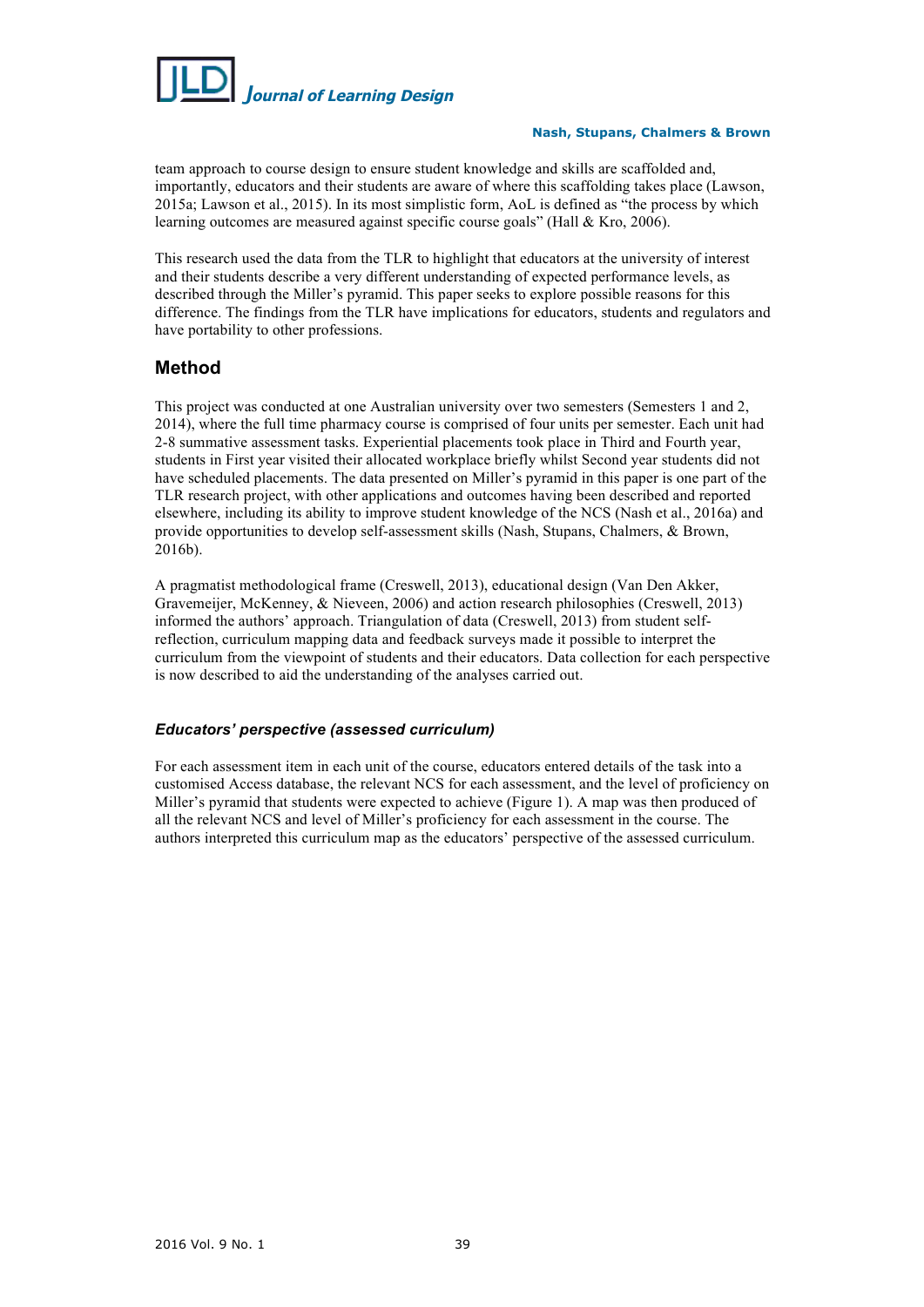

team approach to course design to ensure student knowledge and skills are scaffolded and, importantly, educators and their students are aware of where this scaffolding takes place (Lawson, 2015a; Lawson et al., 2015). In its most simplistic form, AoL is defined as "the process by which learning outcomes are measured against specific course goals" (Hall & Kro, 2006).

This research used the data from the TLR to highlight that educators at the university of interest and their students describe a very different understanding of expected performance levels, as described through the Miller's pyramid. This paper seeks to explore possible reasons for this difference. The findings from the TLR have implications for educators, students and regulators and have portability to other professions.

# **Method**

This project was conducted at one Australian university over two semesters (Semesters 1 and 2, 2014), where the full time pharmacy course is comprised of four units per semester. Each unit had 2-8 summative assessment tasks. Experiential placements took place in Third and Fourth year, students in First year visited their allocated workplace briefly whilst Second year students did not have scheduled placements. The data presented on Miller's pyramid in this paper is one part of the TLR research project, with other applications and outcomes having been described and reported elsewhere, including its ability to improve student knowledge of the NCS (Nash et al., 2016a) and provide opportunities to develop self-assessment skills (Nash, Stupans, Chalmers, & Brown, 2016b).

A pragmatist methodological frame (Creswell, 2013), educational design (Van Den Akker, Gravemeijer, McKenney, & Nieveen, 2006) and action research philosophies (Creswell, 2013) informed the authors' approach. Triangulation of data (Creswell, 2013) from student selfreflection, curriculum mapping data and feedback surveys made it possible to interpret the curriculum from the viewpoint of students and their educators. Data collection for each perspective is now described to aid the understanding of the analyses carried out.

# *Educators' perspective (assessed curriculum)*

For each assessment item in each unit of the course, educators entered details of the task into a customised Access database, the relevant NCS for each assessment, and the level of proficiency on Miller's pyramid that students were expected to achieve (Figure 1). A map was then produced of all the relevant NCS and level of Miller's proficiency for each assessment in the course. The authors interpreted this curriculum map as the educators' perspective of the assessed curriculum.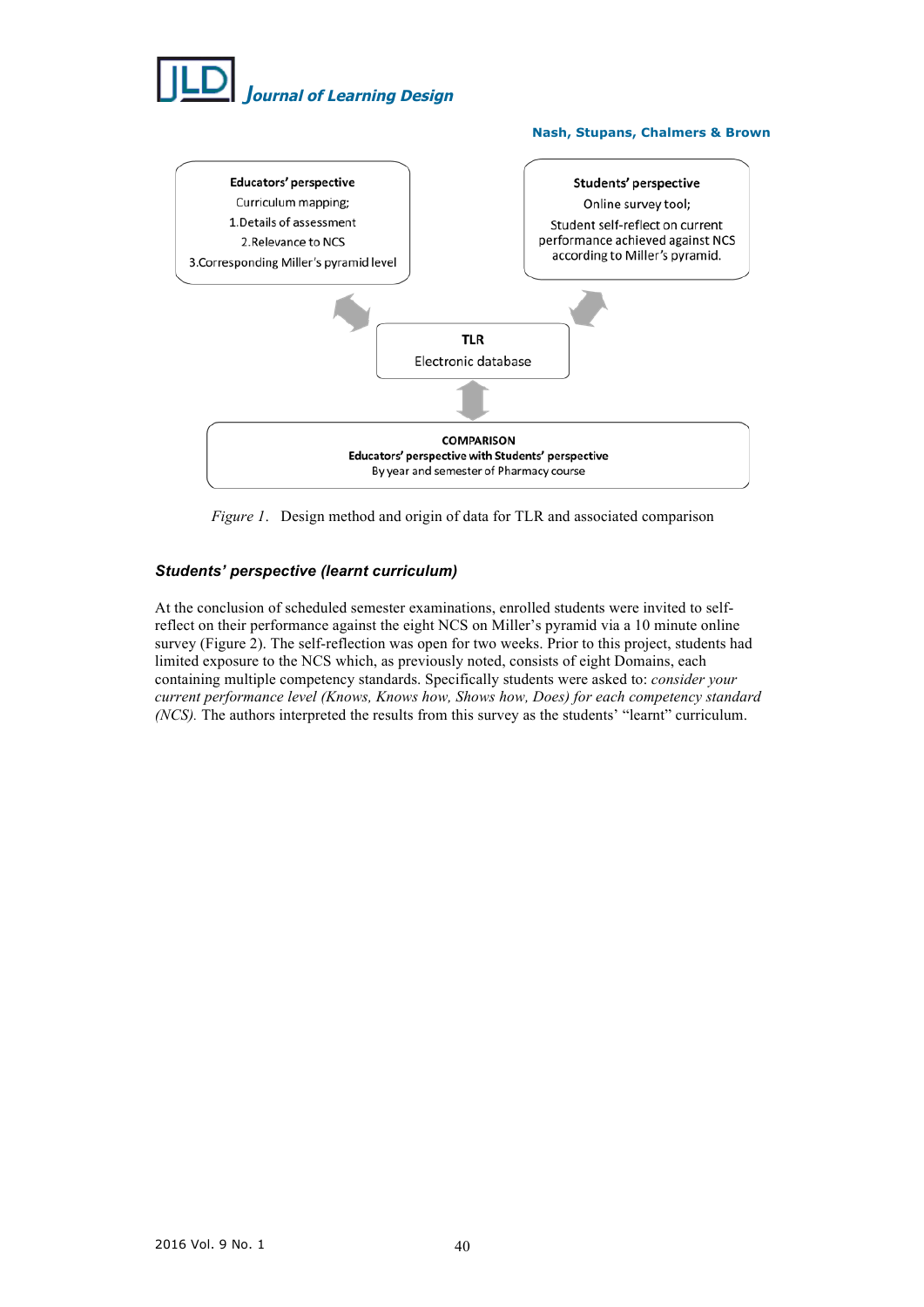

**Nash, Stupans, Chalmers & Brown**



*Figure 1*. Design method and origin of data for TLR and associated comparison

# *Students' perspective (learnt curriculum)*

At the conclusion of scheduled semester examinations, enrolled students were invited to selfreflect on their performance against the eight NCS on Miller's pyramid via a 10 minute online survey (Figure 2). The self-reflection was open for two weeks. Prior to this project, students had limited exposure to the NCS which, as previously noted, consists of eight Domains, each containing multiple competency standards. Specifically students were asked to: *consider your current performance level (Knows, Knows how, Shows how, Does) for each competency standard (NCS).* The authors interpreted the results from this survey as the students' "learnt" curriculum.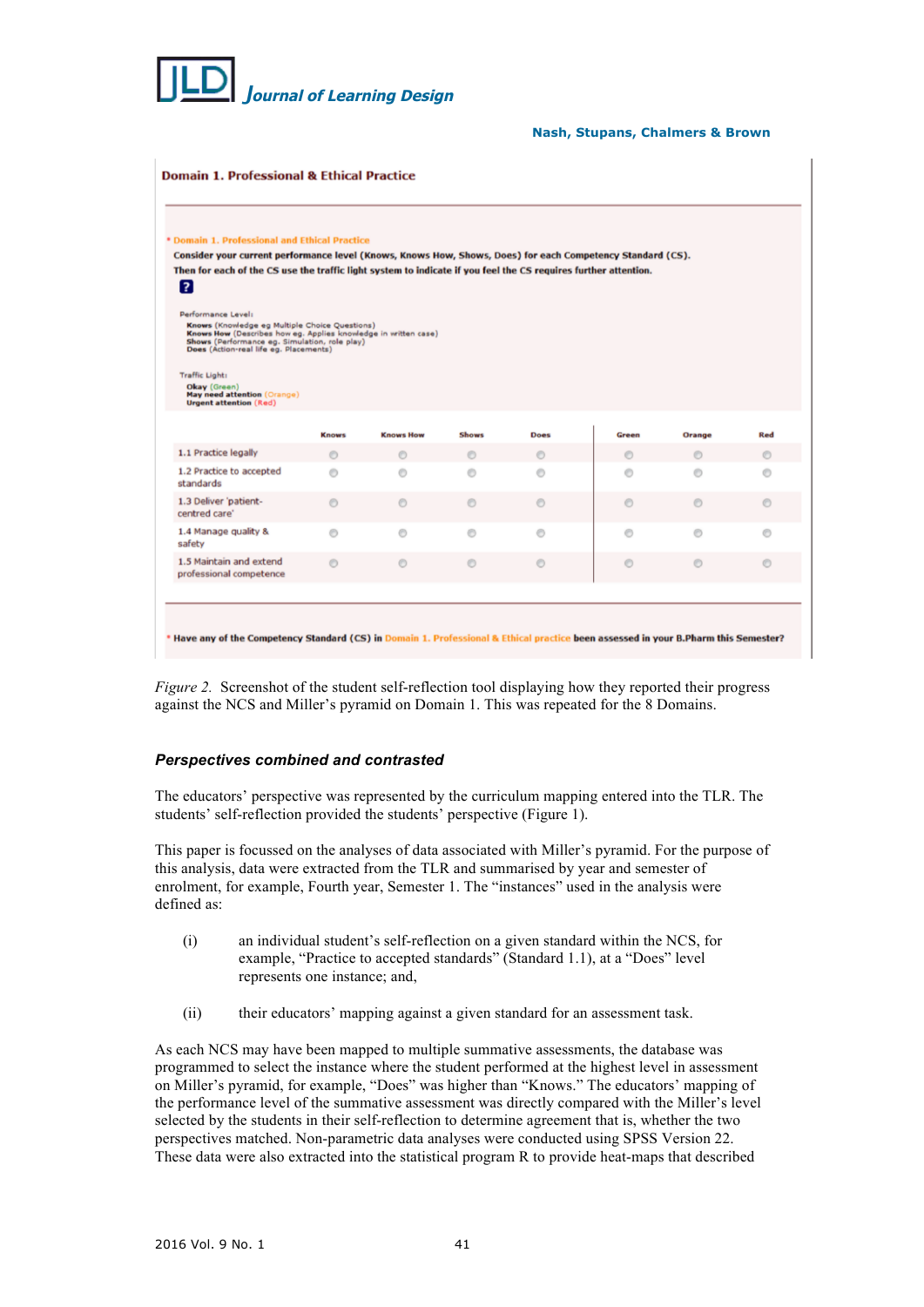

| Consider your current performance level (Knows, Knows How, Shows, Does) for each Competency Standard (CS).                                                                                                                         |              | * Domain 1. Professional and Ethical Practice |              |             |         |         |         |
|------------------------------------------------------------------------------------------------------------------------------------------------------------------------------------------------------------------------------------|--------------|-----------------------------------------------|--------------|-------------|---------|---------|---------|
|                                                                                                                                                                                                                                    |              |                                               |              |             |         |         |         |
| Then for each of the CS use the traffic light system to indicate if you feel the CS requires further attention.<br>2                                                                                                               |              |                                               |              |             |         |         |         |
| Performance Level:<br>Knows (Knowledge eg Multiple Choice Questions)<br>Knows How (Describes how eg. Applies knowledge in written case)<br>Shows (Performance eg. Simulation, role play)<br>Does (Action-real life eg. Placements) |              |                                               |              |             |         |         |         |
| <b>Traffic Light:</b>                                                                                                                                                                                                              |              |                                               |              |             |         |         |         |
| Okay (Green)<br>May need attention (Orange)<br><b>Urgent attention (Red)</b>                                                                                                                                                       |              |                                               |              |             |         |         |         |
|                                                                                                                                                                                                                                    | <b>Knows</b> | <b>Knows How</b>                              | <b>Shows</b> | <b>Does</b> | Green   | Orange  | Red     |
| 1.1 Practice legally                                                                                                                                                                                                               | $\odot$      | $\circ$                                       | $\circ$      | $\circ$     | $\odot$ | $\odot$ | $\odot$ |
|                                                                                                                                                                                                                                    | $\circ$      | $\circ$                                       | $\odot$      | $\circ$     | $\odot$ | $\circ$ | $\circ$ |
|                                                                                                                                                                                                                                    |              |                                               |              |             |         |         | $\odot$ |
|                                                                                                                                                                                                                                    | $\odot$      | $\odot$                                       | $\odot$      | $\odot$     | $\odot$ | $\odot$ |         |
| 1.2 Practice to accepted<br>standards<br>1.3 Deliver 'patient-<br>centred care'<br>1.4 Manage quality &<br>safety                                                                                                                  | $\circ$      | $\circ$                                       | $\circ$      | $\circ$     | $\circ$ | $\circ$ | $\circ$ |

*Figure 2.* Screenshot of the student self-reflection tool displaying how they reported their progress against the NCS and Miller's pyramid on Domain 1. This was repeated for the 8 Domains.

## *Perspectives combined and contrasted*

The educators' perspective was represented by the curriculum mapping entered into the TLR. The students' self-reflection provided the students' perspective (Figure 1).

This paper is focussed on the analyses of data associated with Miller's pyramid. For the purpose of this analysis, data were extracted from the TLR and summarised by year and semester of enrolment, for example, Fourth year, Semester 1. The "instances" used in the analysis were defined as:

- (i) an individual student's self-reflection on a given standard within the NCS, for example, "Practice to accepted standards" (Standard 1.1), at a "Does" level represents one instance; and,
- (ii) their educators' mapping against a given standard for an assessment task.

As each NCS may have been mapped to multiple summative assessments, the database was programmed to select the instance where the student performed at the highest level in assessment on Miller's pyramid, for example, "Does" was higher than "Knows." The educators' mapping of the performance level of the summative assessment was directly compared with the Miller's level selected by the students in their self-reflection to determine agreement that is, whether the two perspectives matched. Non-parametric data analyses were conducted using SPSS Version 22. These data were also extracted into the statistical program R to provide heat-maps that described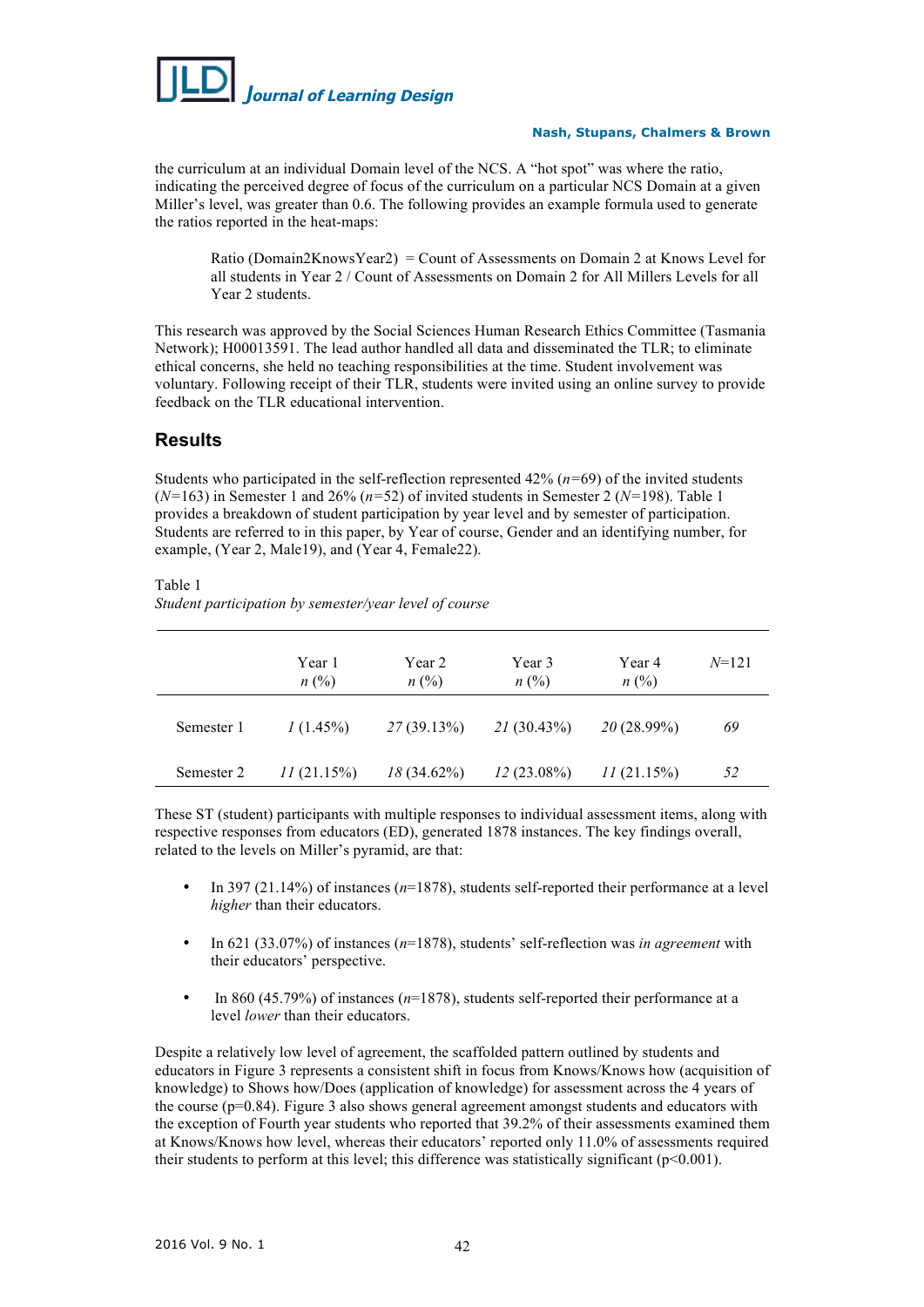

the curriculum at an individual Domain level of the NCS. A "hot spot" was where the ratio, indicating the perceived degree of focus of the curriculum on a particular NCS Domain at a given Miller's level, was greater than 0.6. The following provides an example formula used to generate the ratios reported in the heat-maps:

Ratio (Domain2KnowsYear2) = Count of Assessments on Domain 2 at Knows Level for all students in Year 2 / Count of Assessments on Domain 2 for All Millers Levels for all Year 2 students.

This research was approved by the Social Sciences Human Research Ethics Committee (Tasmania Network); H00013591. The lead author handled all data and disseminated the TLR; to eliminate ethical concerns, she held no teaching responsibilities at the time. Student involvement was voluntary. Following receipt of their TLR, students were invited using an online survey to provide feedback on the TLR educational intervention.

# **Results**

Students who participated in the self-reflection represented 42% (*n=*69) of the invited students (*N=*163) in Semester 1 and 26% (*n=*52) of invited students in Semester 2 (*N=*198). Table 1 provides a breakdown of student participation by year level and by semester of participation. Students are referred to in this paper, by Year of course, Gender and an identifying number, for example, (Year 2, Male19), and (Year 4, Female22).

Table 1

*Student participation by semester/year level of course*

|            | Year 1<br>$n\ (\%)$ | Year 2<br>$n\ (\%)$ | Year 3<br>$n\ (\%)$ | Year 4<br>$n\ (\%)$ | $N = 121$ |
|------------|---------------------|---------------------|---------------------|---------------------|-----------|
| Semester 1 | $1(1.45\%)$         | 27(39.13%)          | 21(30.43%)          | $20(28.99\%)$       | 69        |
| Semester 2 | 11(21.15%)          | $18(34.62\%)$       | $12(23.08\%)$       | II(21.15%)          | 52        |

These ST (student) participants with multiple responses to individual assessment items, along with respective responses from educators (ED), generated 1878 instances. The key findings overall, related to the levels on Miller's pyramid, are that:

- In 397 (21.14%) of instances (*n*=1878), students self-reported their performance at a level *higher* than their educators.
- In 621 (33.07%) of instances (*n*=1878), students' self-reflection was *in agreement* with their educators' perspective.
- In 860 (45.79%) of instances (*n*=1878), students self-reported their performance at a level *lower* than their educators.

Despite a relatively low level of agreement, the scaffolded pattern outlined by students and educators in Figure 3 represents a consistent shift in focus from Knows/Knows how (acquisition of knowledge) to Shows how/Does (application of knowledge) for assessment across the 4 years of the course  $(p=0.84)$ . Figure 3 also shows general agreement amongst students and educators with the exception of Fourth year students who reported that 39.2% of their assessments examined them at Knows/Knows how level, whereas their educators' reported only 11.0% of assessments required their students to perform at this level; this difference was statistically significant (p<0.001).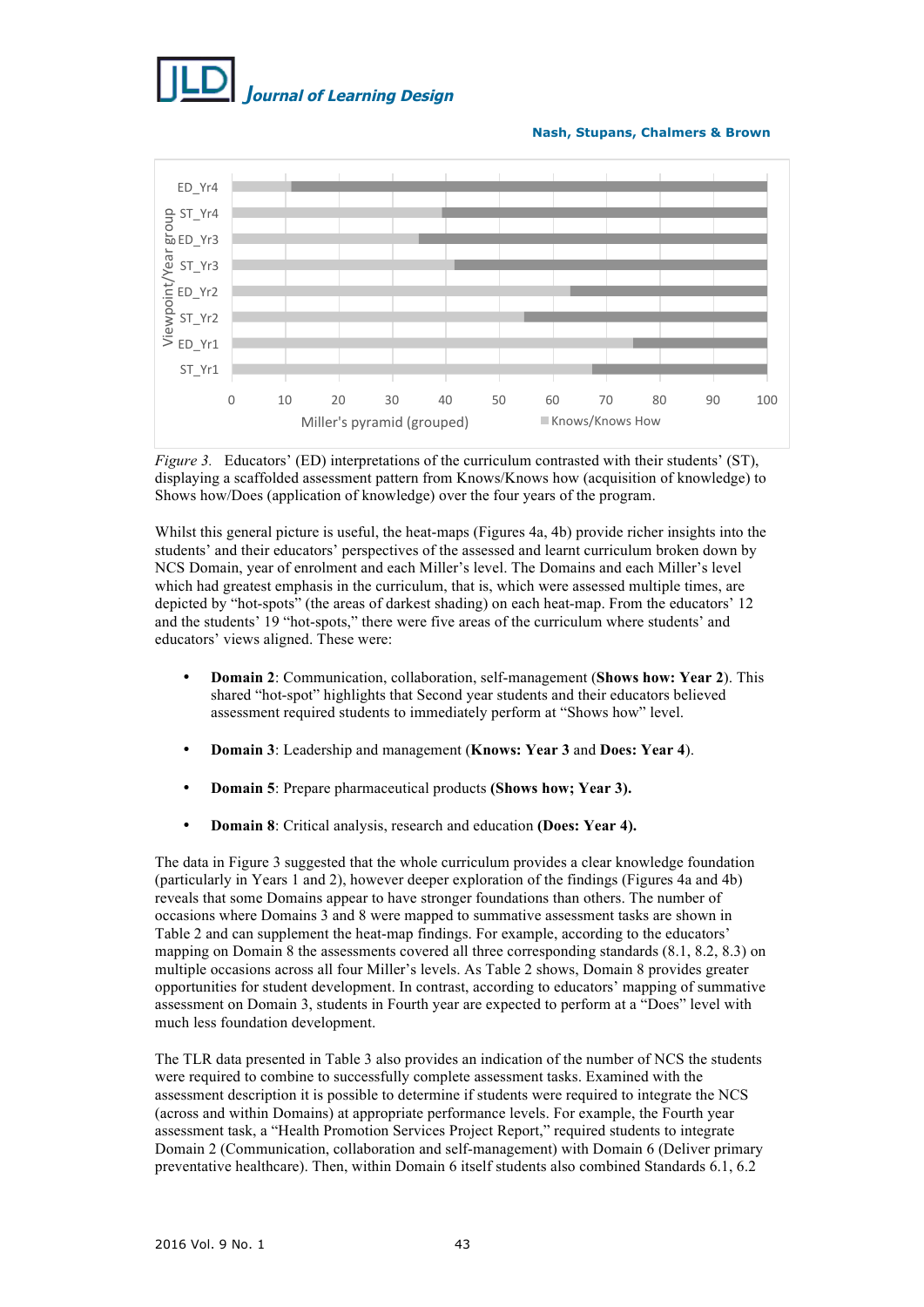



*Figure 3.* Educators' (ED) interpretations of the curriculum contrasted with their students' (ST), displaying a scaffolded assessment pattern from Knows/Knows how (acquisition of knowledge) to Shows how/Does (application of knowledge) over the four years of the program.

Whilst this general picture is useful, the heat-maps (Figures 4a, 4b) provide richer insights into the students' and their educators' perspectives of the assessed and learnt curriculum broken down by NCS Domain, year of enrolment and each Miller's level. The Domains and each Miller's level which had greatest emphasis in the curriculum, that is, which were assessed multiple times, are depicted by "hot-spots" (the areas of darkest shading) on each heat-map. From the educators' 12 and the students' 19 "hot-spots," there were five areas of the curriculum where students' and educators' views aligned. These were:

- **Domain 2**: Communication, collaboration, self-management (**Shows how: Year 2**). This shared "hot-spot" highlights that Second year students and their educators believed assessment required students to immediately perform at "Shows how" level.
- **Domain 3**: Leadership and management (**Knows: Year 3** and **Does: Year 4**).
- **Domain 5**: Prepare pharmaceutical products **(Shows how; Year 3).**
- **Domain 8**: Critical analysis, research and education **(Does: Year 4).**

The data in Figure 3 suggested that the whole curriculum provides a clear knowledge foundation (particularly in Years 1 and 2), however deeper exploration of the findings (Figures 4a and 4b) reveals that some Domains appear to have stronger foundations than others. The number of occasions where Domains 3 and 8 were mapped to summative assessment tasks are shown in Table 2 and can supplement the heat-map findings. For example, according to the educators' mapping on Domain 8 the assessments covered all three corresponding standards (8.1, 8.2, 8.3) on multiple occasions across all four Miller's levels. As Table 2 shows, Domain 8 provides greater opportunities for student development. In contrast, according to educators' mapping of summative assessment on Domain 3, students in Fourth year are expected to perform at a "Does" level with much less foundation development.

The TLR data presented in Table 3 also provides an indication of the number of NCS the students were required to combine to successfully complete assessment tasks. Examined with the assessment description it is possible to determine if students were required to integrate the NCS (across and within Domains) at appropriate performance levels. For example, the Fourth year assessment task, a "Health Promotion Services Project Report," required students to integrate Domain 2 (Communication, collaboration and self-management) with Domain 6 (Deliver primary preventative healthcare). Then, within Domain 6 itself students also combined Standards 6.1, 6.2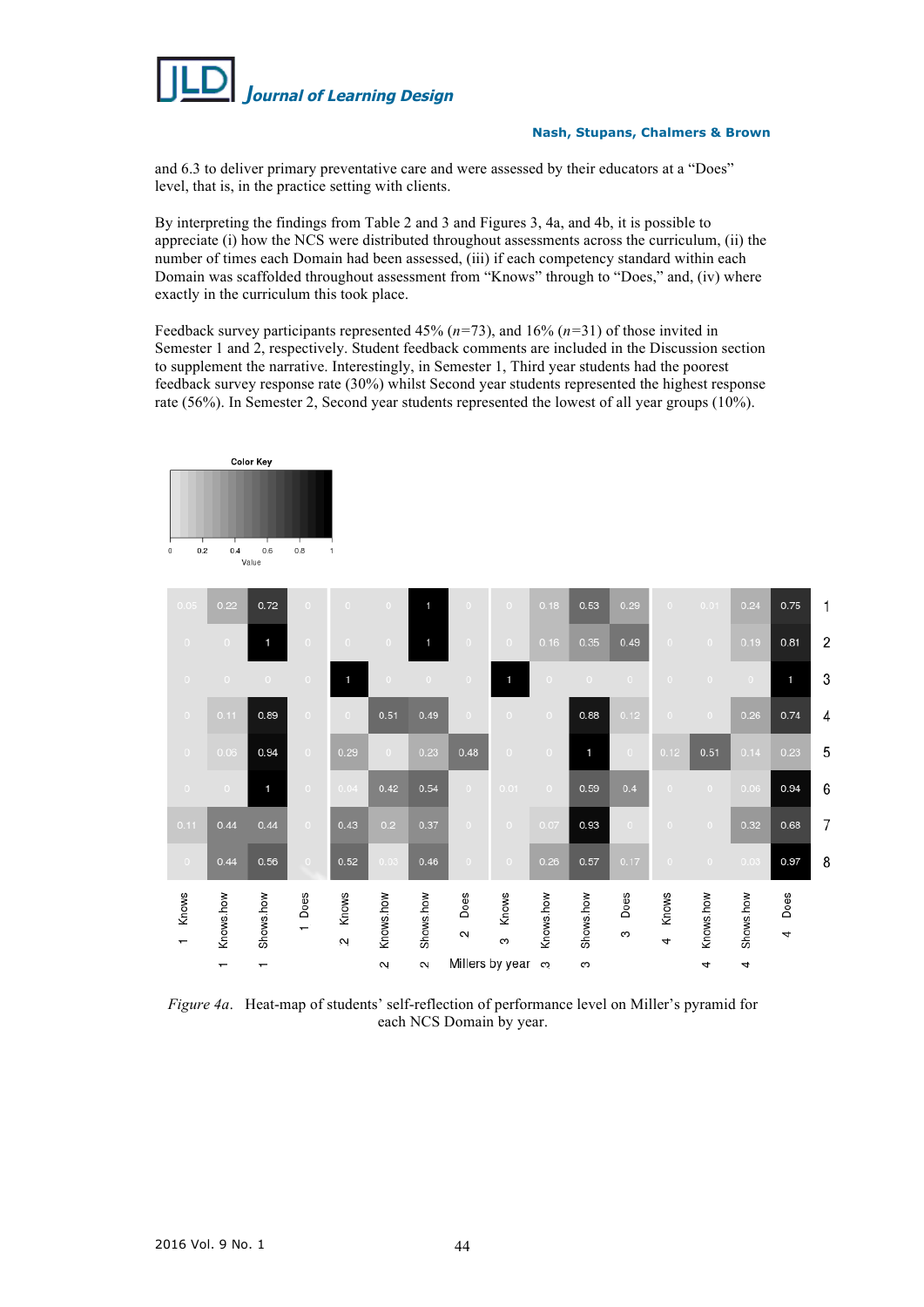

and 6.3 to deliver primary preventative care and were assessed by their educators at a "Does" level, that is, in the practice setting with clients.

By interpreting the findings from Table 2 and 3 and Figures 3, 4a, and 4b, it is possible to appreciate (i) how the NCS were distributed throughout assessments across the curriculum, (ii) the number of times each Domain had been assessed, (iii) if each competency standard within each Domain was scaffolded throughout assessment from "Knows" through to "Does," and, (iv) where exactly in the curriculum this took place.

Feedback survey participants represented 45% (*n=*73), and 16% (*n=*31) of those invited in Semester 1 and 2, respectively. Student feedback comments are included in the Discussion section to supplement the narrative. Interestingly, in Semester 1, Third year students had the poorest feedback survey response rate (30%) whilst Second year students represented the highest response rate (56%). In Semester 2, Second year students represented the lowest of all year groups (10%).

|                    |                          | <b>Color Key</b>         |                |                       |                |                      |                         |                |           |           |                |                |           |           |           |   |
|--------------------|--------------------------|--------------------------|----------------|-----------------------|----------------|----------------------|-------------------------|----------------|-----------|-----------|----------------|----------------|-----------|-----------|-----------|---|
| 0.2<br>$\mathbf 0$ | 0.4                      | 0.6<br>Value             | 0.8            | $\mathbf{1}$          |                |                      |                         |                |           |           |                |                |           |           |           |   |
| 0.05               | 0.22                     | 0.72                     | $\circ$        | $\circ$               | $\circ$        | 1                    | $\circ$                 | $\circ$        | 0.18      | 0.53      | 0.29           | $\circ$        | 0.01      | 0.24      | 0.75      | 1 |
| $\circ$            | $\circ$                  | 1                        | $\circ$        | $\circ$               | $\overline{0}$ | 1                    | $\circ$                 | $\circ$        | 0.16      | 0.35      | 0.49           | $\circ$        | $\circ$   | 0.19      | 0.81      | 2 |
| $\circ$            | $\circ$                  | $\overline{0}$           | $\circ$        | 1                     | $\bullet$      | $\circ$              | $\circ$                 | 1              | $\circ$   | $\circ$   | $\circ$        | $\Omega$       | $\circ$   | $\circ$   | 1         | 3 |
| $\circ$            | 0.11                     | 0.89                     | $\mathbf{O}^-$ | $\circ$               | 0.51           | 0.49                 | $\circ$                 | $\overline{0}$ | $\circ$   | 0.88      | 0.12           | $\circ$        | $\circ$   | 0.26      | 0.74      | 4 |
| $\circ$            | 0.06                     | 0.94                     | $\circ$        | 0.29                  | $\circ$        | 0.23                 | 0.48                    | $\circ$        | $\circ$   | 1         | $\overline{0}$ | 0.12           | 0.51      | 0.14      | 0.23      | 5 |
| $\circ$            | $\circ$                  | 1                        | $\bullet$      | 0.04                  | 0.42           | 0.54                 | $\bullet$               | 0.01           | $\circ$   | 0.59      | 0.4            | $\circ$        | $\circ$   | 0.06      | 0.94      | 6 |
| 0.11               | 0.44                     | 0.44                     | $\circ$        | 0.43                  | 0.2            | 0.37                 | $\circ$                 | $\Omega$       | 0.07      | 0.93      | $\circ$        | $\circ$        | $\circ$   | 0.32      | 0.68      | 7 |
| $\circ$            | 0.44                     | 0.56                     | $\circ$        | 0.52                  | 0.03           | 0.46                 | $\circ$                 | $\circ$        | 0.26      | 0.57      | 0.17           | $\overline{0}$ | $\circ$   | 0.03      | 0.97      | 8 |
| Knows              | Knows.how                | Shows.how                | 1 Does         | Knows<br>$\mathbb{N}$ | Knows.how      | Shows.how            | Does<br>$\mathbf{\sim}$ | Knows<br>ო     | Knows.how | Shows.how | Does<br>S      | Knows<br>4     | Knows.how | Shows.how | Does<br>4 |   |
|                    | $\overline{\phantom{0}}$ | $\overline{\phantom{0}}$ |                |                       | $\sim$         | $\mathbf{\tilde{c}}$ | Millers by year         |                | က         | S         |                |                | 4         | 4         |           |   |

*Figure 4a*. Heat-map of students' self-reflection of performance level on Miller's pyramid for each NCS Domain by year.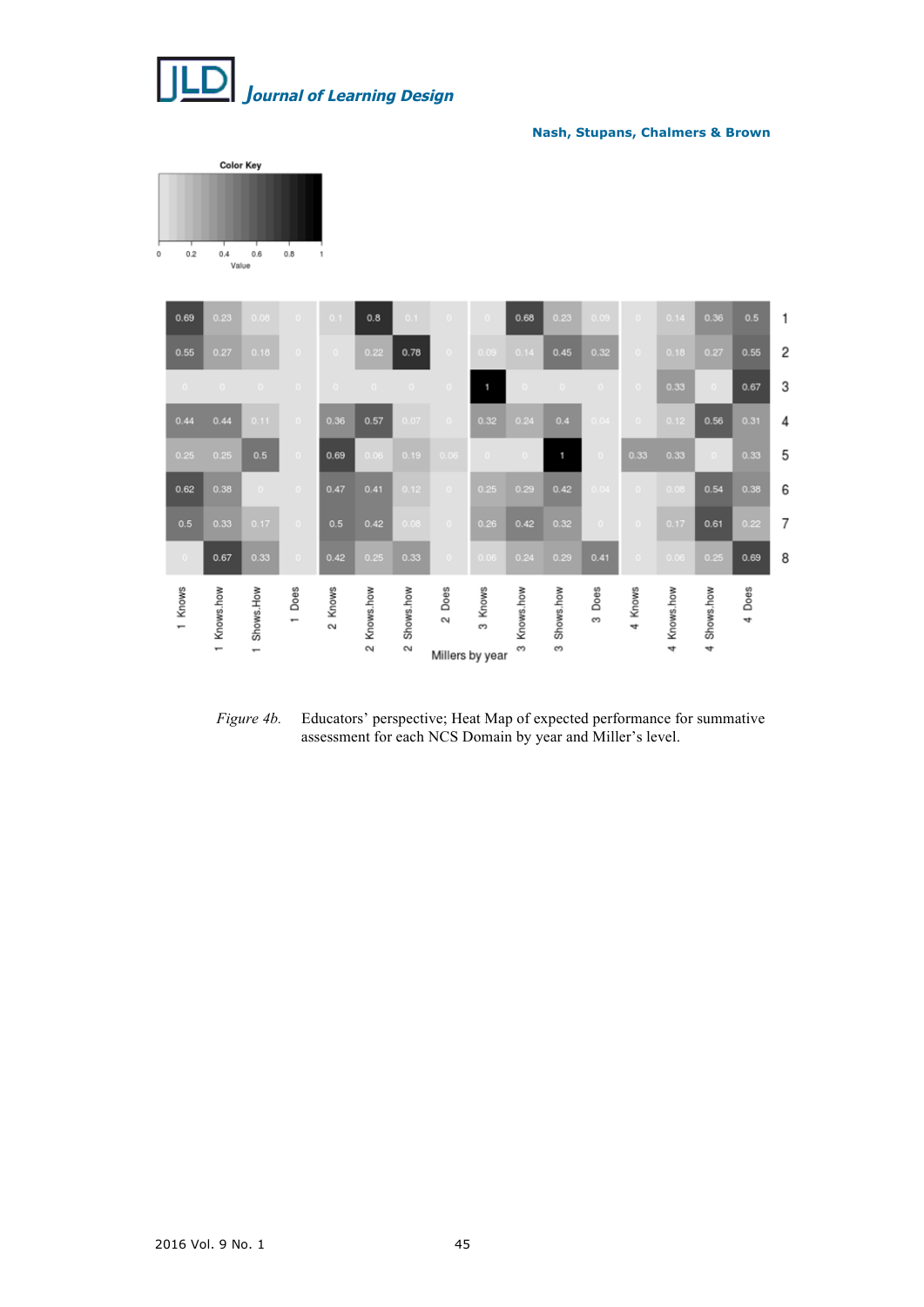

Color Key

**Nash, Stupans, Chalmers & Brown**



*Figure 4b.* Educators' perspective; Heat Map of expected performance for summative assessment for each NCS Domain by year and Miller's level.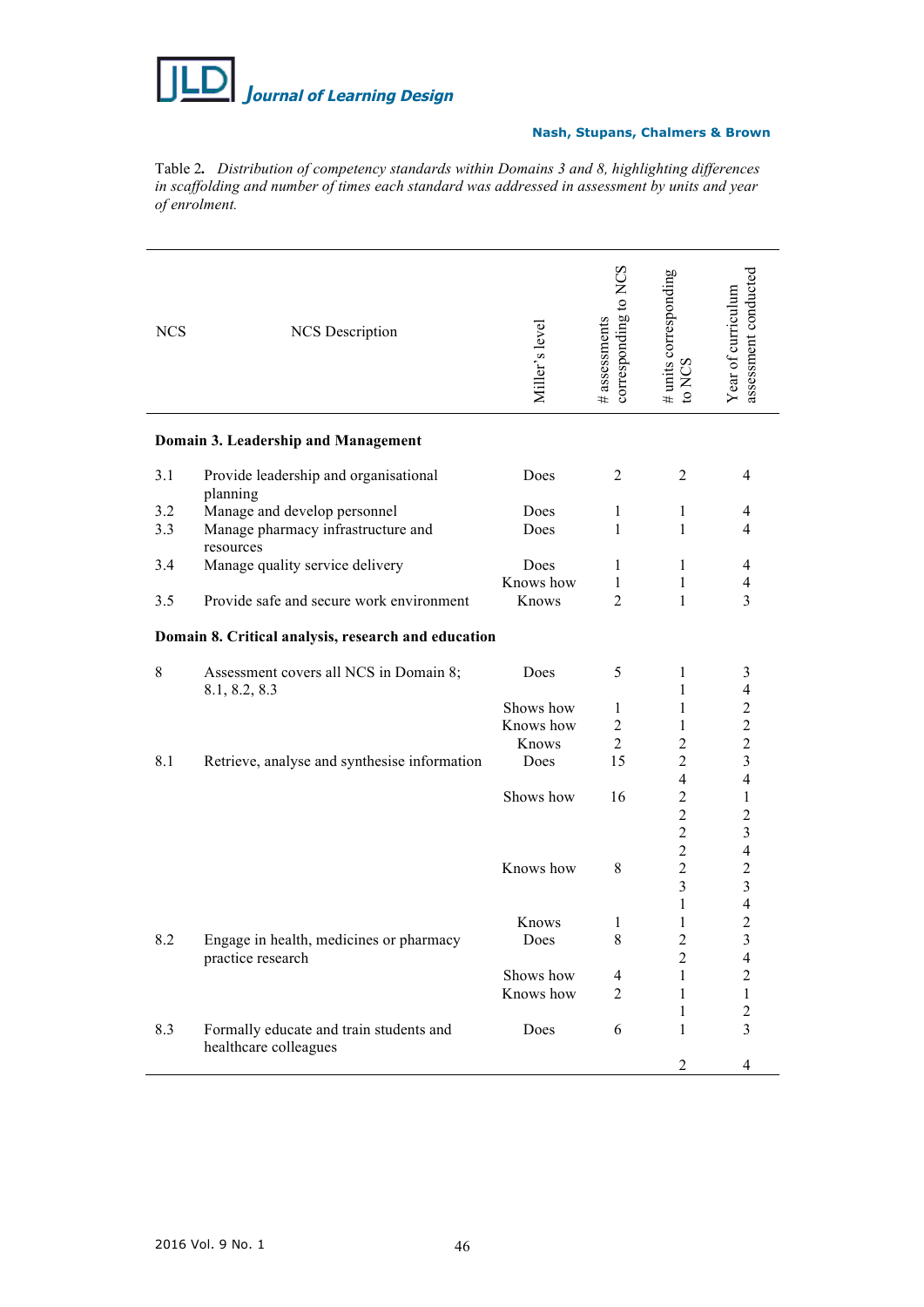

Table 2*. Distribution of competency standards within Domains 3 and 8, highlighting differences in scaffolding and number of times each standard was addressed in assessment by units and year of enrolment.*

| <b>NCS</b>                                          | <b>NCS</b> Description                                  | Miller's level | corresponding to NCS<br># assessments | # units corresponding<br>to NCS | assessment conducted<br>Year of curriculum |  |  |  |
|-----------------------------------------------------|---------------------------------------------------------|----------------|---------------------------------------|---------------------------------|--------------------------------------------|--|--|--|
|                                                     | Domain 3. Leadership and Management                     |                |                                       |                                 |                                            |  |  |  |
| 3.1                                                 | Provide leadership and organisational<br>planning       | Does           | 2                                     | 2                               | $\overline{4}$                             |  |  |  |
| 3.2                                                 | Manage and develop personnel                            | Does           | 1                                     | $\mathbf{1}$                    | 4                                          |  |  |  |
| 3.3                                                 | Manage pharmacy infrastructure and<br>resources         | Does           | 1                                     | $\mathbf{1}$                    | 4                                          |  |  |  |
| 3.4                                                 | Manage quality service delivery                         | Does           | 1                                     | 1                               | 4                                          |  |  |  |
|                                                     |                                                         | Knows how      | 1                                     | 1                               | 4                                          |  |  |  |
| 3.5                                                 | Provide safe and secure work environment                | Knows          | $\overline{2}$                        | 1                               | 3                                          |  |  |  |
| Domain 8. Critical analysis, research and education |                                                         |                |                                       |                                 |                                            |  |  |  |
| 8                                                   | Assessment covers all NCS in Domain 8;<br>8.1, 8.2, 8.3 | Does           | 5                                     | 1<br>1                          | 3<br>$\overline{4}$                        |  |  |  |
|                                                     |                                                         | Shows how      | 1                                     | 1                               | $\overline{2}$                             |  |  |  |
|                                                     |                                                         | Knows how      | $\overline{c}$                        | 1                               | $\overline{c}$                             |  |  |  |
|                                                     |                                                         | Knows          | $\overline{2}$                        | $\overline{2}$                  | $\overline{c}$                             |  |  |  |
| 8.1                                                 | Retrieve, analyse and synthesise information            | Does           | 15                                    | $\overline{2}$                  | 3                                          |  |  |  |
|                                                     |                                                         |                |                                       | $\overline{4}$                  | $\overline{4}$                             |  |  |  |
|                                                     |                                                         | Shows how      | 16                                    | $\overline{2}$                  | 1                                          |  |  |  |
|                                                     |                                                         |                |                                       | $\overline{c}$                  | $\overline{c}$                             |  |  |  |
|                                                     |                                                         |                |                                       | $\overline{2}$                  | 3                                          |  |  |  |
|                                                     |                                                         |                |                                       | $\overline{2}$                  | $\overline{4}$                             |  |  |  |
|                                                     |                                                         | Knows how      | 8                                     | $\overline{2}$                  | $\overline{2}$                             |  |  |  |
|                                                     |                                                         |                |                                       | 3                               | $\overline{\mathbf{3}}$                    |  |  |  |
|                                                     |                                                         |                |                                       | 1                               | $\overline{\mathcal{L}}$                   |  |  |  |
|                                                     |                                                         | Knows          | 1                                     | 1                               | $\overline{c}$                             |  |  |  |
| 8.2                                                 | Engage in health, medicines or pharmacy                 | Does           | 8                                     | $\overline{c}$                  | $\mathfrak{Z}$                             |  |  |  |
|                                                     | practice research                                       |                |                                       | $\overline{c}$                  | $\overline{\mathcal{A}}$                   |  |  |  |
|                                                     |                                                         | Shows how      | 4                                     | 1                               | $\overline{c}$                             |  |  |  |
|                                                     |                                                         | Knows how      | $\overline{2}$                        | 1                               | 1                                          |  |  |  |
|                                                     |                                                         |                |                                       |                                 | $\overline{c}$                             |  |  |  |
| 8.3                                                 | Formally educate and train students and                 | Does           | 6                                     | 1<br>1                          | 3                                          |  |  |  |
|                                                     | healthcare colleagues                                   |                |                                       |                                 |                                            |  |  |  |
|                                                     |                                                         |                |                                       | $\overline{2}$                  | $\overline{4}$                             |  |  |  |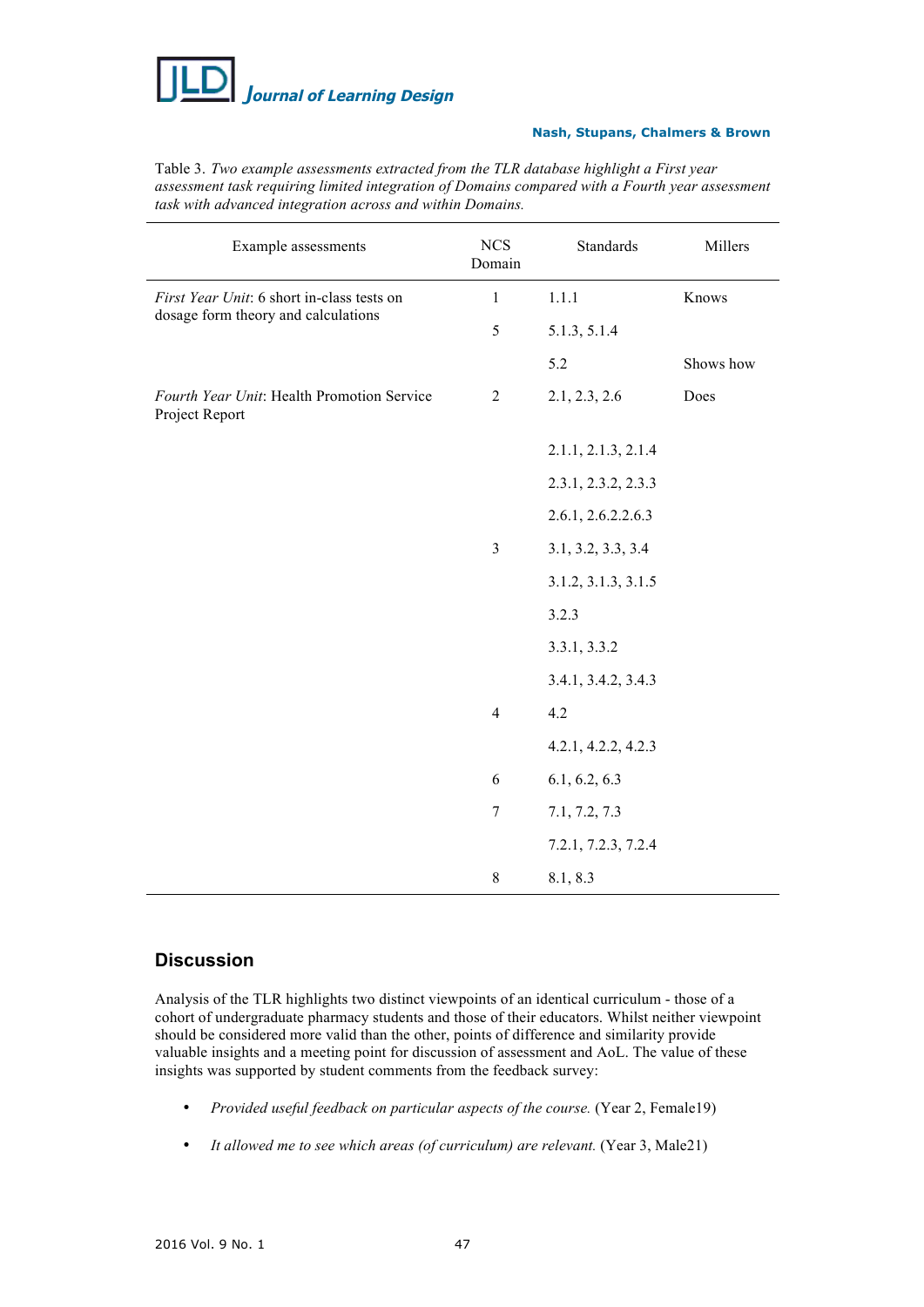

| Example assessments                                          | $_{\mathrm{NCS}}$<br>Domain | <b>Standards</b>    | Millers   |  |
|--------------------------------------------------------------|-----------------------------|---------------------|-----------|--|
| First Year Unit: 6 short in-class tests on                   | $\mathbf{1}$                | 1.1.1               | Knows     |  |
| dosage form theory and calculations                          | 5                           | 5.1.3, 5.1.4        |           |  |
|                                                              |                             | 5.2                 | Shows how |  |
| Fourth Year Unit: Health Promotion Service<br>Project Report | $\overline{c}$              | 2.1, 2.3, 2.6       | Does      |  |
|                                                              |                             | 2.1.1, 2.1.3, 2.1.4 |           |  |
|                                                              |                             | 2.3.1, 2.3.2, 2.3.3 |           |  |
|                                                              |                             | 2.6.1, 2.6.2.2.6.3  |           |  |
|                                                              | $\mathfrak{Z}$              | 3.1, 3.2, 3.3, 3.4  |           |  |
|                                                              |                             | 3.1.2, 3.1.3, 3.1.5 |           |  |
|                                                              |                             | 3.2.3               |           |  |
|                                                              |                             | 3.3.1, 3.3.2        |           |  |
|                                                              |                             | 3.4.1, 3.4.2, 3.4.3 |           |  |
|                                                              | $\overline{4}$              | 4.2                 |           |  |
|                                                              |                             | 4.2.1, 4.2.2, 4.2.3 |           |  |
|                                                              | 6                           | 6.1, 6.2, 6.3       |           |  |
|                                                              | $\tau$                      | 7.1, 7.2, 7.3       |           |  |
|                                                              |                             | 7.2.1, 7.2.3, 7.2.4 |           |  |
|                                                              | $8\,$                       | 8.1, 8.3            |           |  |

Table 3. *Two example assessments extracted from the TLR database highlight a First year assessment task requiring limited integration of Domains compared with a Fourth year assessment task with advanced integration across and within Domains.*

# **Discussion**

Analysis of the TLR highlights two distinct viewpoints of an identical curriculum - those of a cohort of undergraduate pharmacy students and those of their educators. Whilst neither viewpoint should be considered more valid than the other, points of difference and similarity provide valuable insights and a meeting point for discussion of assessment and AoL. The value of these insights was supported by student comments from the feedback survey:

- *Provided useful feedback on particular aspects of the course.* (Year 2, Female19)
- *It allowed me to see which areas (of curriculum) are relevant.* (Year 3, Male21)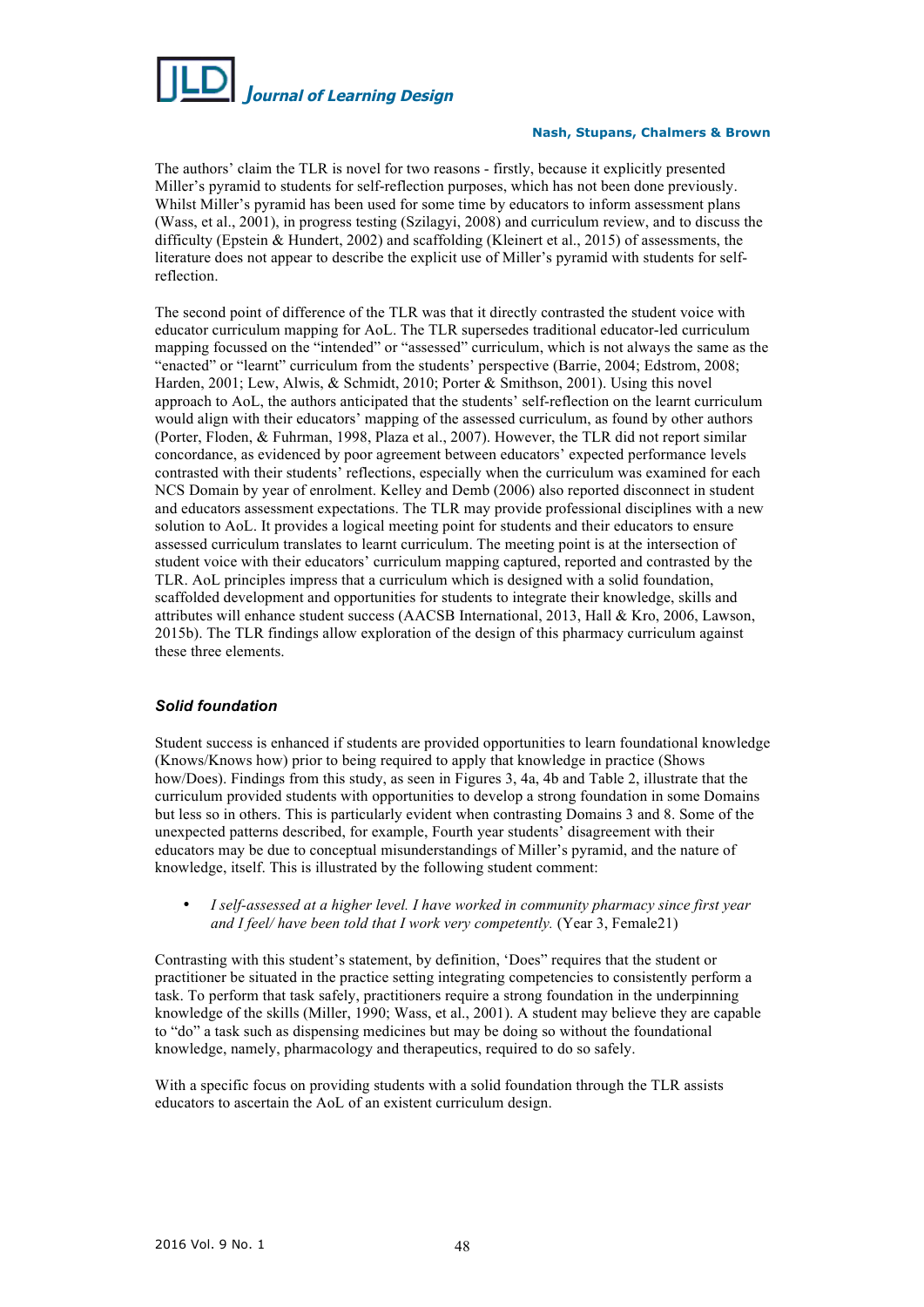

The authors' claim the TLR is novel for two reasons - firstly, because it explicitly presented Miller's pyramid to students for self-reflection purposes, which has not been done previously. Whilst Miller's pyramid has been used for some time by educators to inform assessment plans (Wass, et al., 2001), in progress testing (Szilagyi, 2008) and curriculum review, and to discuss the difficulty (Epstein & Hundert, 2002) and scaffolding (Kleinert et al., 2015) of assessments, the literature does not appear to describe the explicit use of Miller's pyramid with students for selfreflection.

The second point of difference of the TLR was that it directly contrasted the student voice with educator curriculum mapping for AoL. The TLR supersedes traditional educator-led curriculum mapping focussed on the "intended" or "assessed" curriculum, which is not always the same as the "enacted" or "learnt" curriculum from the students' perspective (Barrie, 2004; Edstrom, 2008; Harden, 2001; Lew, Alwis, & Schmidt, 2010; Porter & Smithson, 2001). Using this novel approach to AoL, the authors anticipated that the students' self-reflection on the learnt curriculum would align with their educators' mapping of the assessed curriculum, as found by other authors (Porter, Floden, & Fuhrman, 1998, Plaza et al., 2007). However, the TLR did not report similar concordance, as evidenced by poor agreement between educators' expected performance levels contrasted with their students' reflections, especially when the curriculum was examined for each NCS Domain by year of enrolment. Kelley and Demb (2006) also reported disconnect in student and educators assessment expectations. The TLR may provide professional disciplines with a new solution to AoL. It provides a logical meeting point for students and their educators to ensure assessed curriculum translates to learnt curriculum. The meeting point is at the intersection of student voice with their educators' curriculum mapping captured, reported and contrasted by the TLR. AoL principles impress that a curriculum which is designed with a solid foundation, scaffolded development and opportunities for students to integrate their knowledge, skills and attributes will enhance student success (AACSB International, 2013, Hall & Kro, 2006, Lawson, 2015b). The TLR findings allow exploration of the design of this pharmacy curriculum against these three elements.

## *Solid foundation*

Student success is enhanced if students are provided opportunities to learn foundational knowledge (Knows/Knows how) prior to being required to apply that knowledge in practice (Shows how/Does). Findings from this study, as seen in Figures 3, 4a, 4b and Table 2, illustrate that the curriculum provided students with opportunities to develop a strong foundation in some Domains but less so in others. This is particularly evident when contrasting Domains 3 and 8. Some of the unexpected patterns described, for example, Fourth year students' disagreement with their educators may be due to conceptual misunderstandings of Miller's pyramid, and the nature of knowledge, itself. This is illustrated by the following student comment:

• *I self-assessed at a higher level. I have worked in community pharmacy since first year and I feel/ have been told that I work very competently.* (Year 3, Female21)

Contrasting with this student's statement, by definition, 'Does" requires that the student or practitioner be situated in the practice setting integrating competencies to consistently perform a task. To perform that task safely, practitioners require a strong foundation in the underpinning knowledge of the skills (Miller, 1990; Wass, et al., 2001). A student may believe they are capable to "do" a task such as dispensing medicines but may be doing so without the foundational knowledge, namely, pharmacology and therapeutics, required to do so safely.

With a specific focus on providing students with a solid foundation through the TLR assists educators to ascertain the AoL of an existent curriculum design.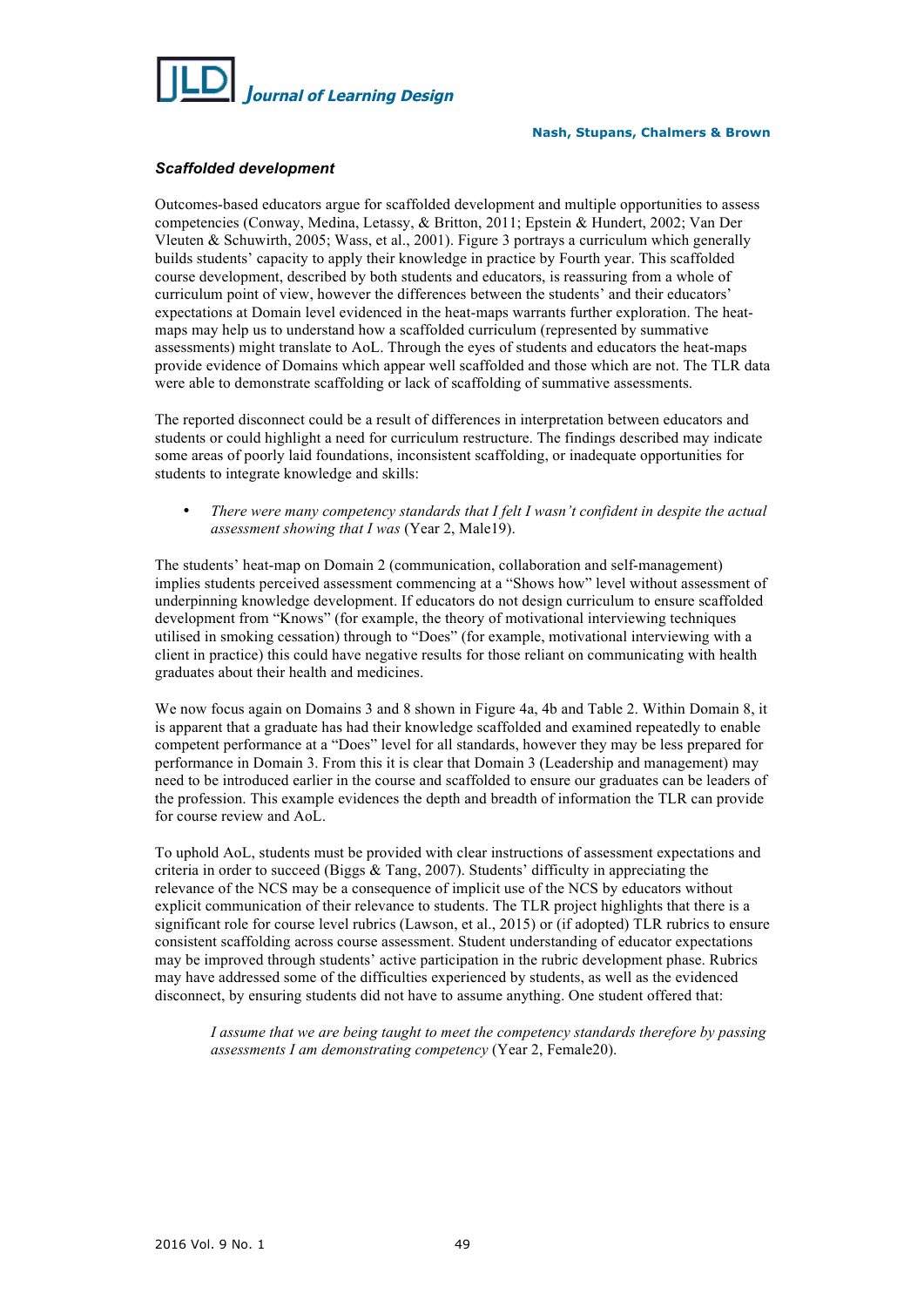

# *Scaffolded development*

Outcomes-based educators argue for scaffolded development and multiple opportunities to assess competencies (Conway, Medina, Letassy, & Britton, 2011; Epstein & Hundert, 2002; Van Der Vleuten & Schuwirth, 2005; Wass, et al., 2001). Figure 3 portrays a curriculum which generally builds students' capacity to apply their knowledge in practice by Fourth year. This scaffolded course development, described by both students and educators, is reassuring from a whole of curriculum point of view, however the differences between the students' and their educators' expectations at Domain level evidenced in the heat-maps warrants further exploration. The heatmaps may help us to understand how a scaffolded curriculum (represented by summative assessments) might translate to AoL. Through the eyes of students and educators the heat-maps provide evidence of Domains which appear well scaffolded and those which are not. The TLR data were able to demonstrate scaffolding or lack of scaffolding of summative assessments.

The reported disconnect could be a result of differences in interpretation between educators and students or could highlight a need for curriculum restructure. The findings described may indicate some areas of poorly laid foundations, inconsistent scaffolding, or inadequate opportunities for students to integrate knowledge and skills:

• *There were many competency standards that I felt I wasn't confident in despite the actual assessment showing that I was* (Year 2, Male19).

The students' heat-map on Domain 2 (communication, collaboration and self-management) implies students perceived assessment commencing at a "Shows how" level without assessment of underpinning knowledge development. If educators do not design curriculum to ensure scaffolded development from "Knows" (for example, the theory of motivational interviewing techniques utilised in smoking cessation) through to "Does" (for example, motivational interviewing with a client in practice) this could have negative results for those reliant on communicating with health graduates about their health and medicines.

We now focus again on Domains 3 and 8 shown in Figure 4a, 4b and Table 2. Within Domain 8, it is apparent that a graduate has had their knowledge scaffolded and examined repeatedly to enable competent performance at a "Does" level for all standards, however they may be less prepared for performance in Domain 3. From this it is clear that Domain 3 (Leadership and management) may need to be introduced earlier in the course and scaffolded to ensure our graduates can be leaders of the profession. This example evidences the depth and breadth of information the TLR can provide for course review and AoL.

To uphold AoL, students must be provided with clear instructions of assessment expectations and criteria in order to succeed (Biggs  $& Tang, 2007$ ). Students' difficulty in appreciating the relevance of the NCS may be a consequence of implicit use of the NCS by educators without explicit communication of their relevance to students. The TLR project highlights that there is a significant role for course level rubrics (Lawson, et al., 2015) or (if adopted) TLR rubrics to ensure consistent scaffolding across course assessment. Student understanding of educator expectations may be improved through students' active participation in the rubric development phase. Rubrics may have addressed some of the difficulties experienced by students, as well as the evidenced disconnect, by ensuring students did not have to assume anything. One student offered that:

*I assume that we are being taught to meet the competency standards therefore by passing assessments I am demonstrating competency* (Year 2, Female20).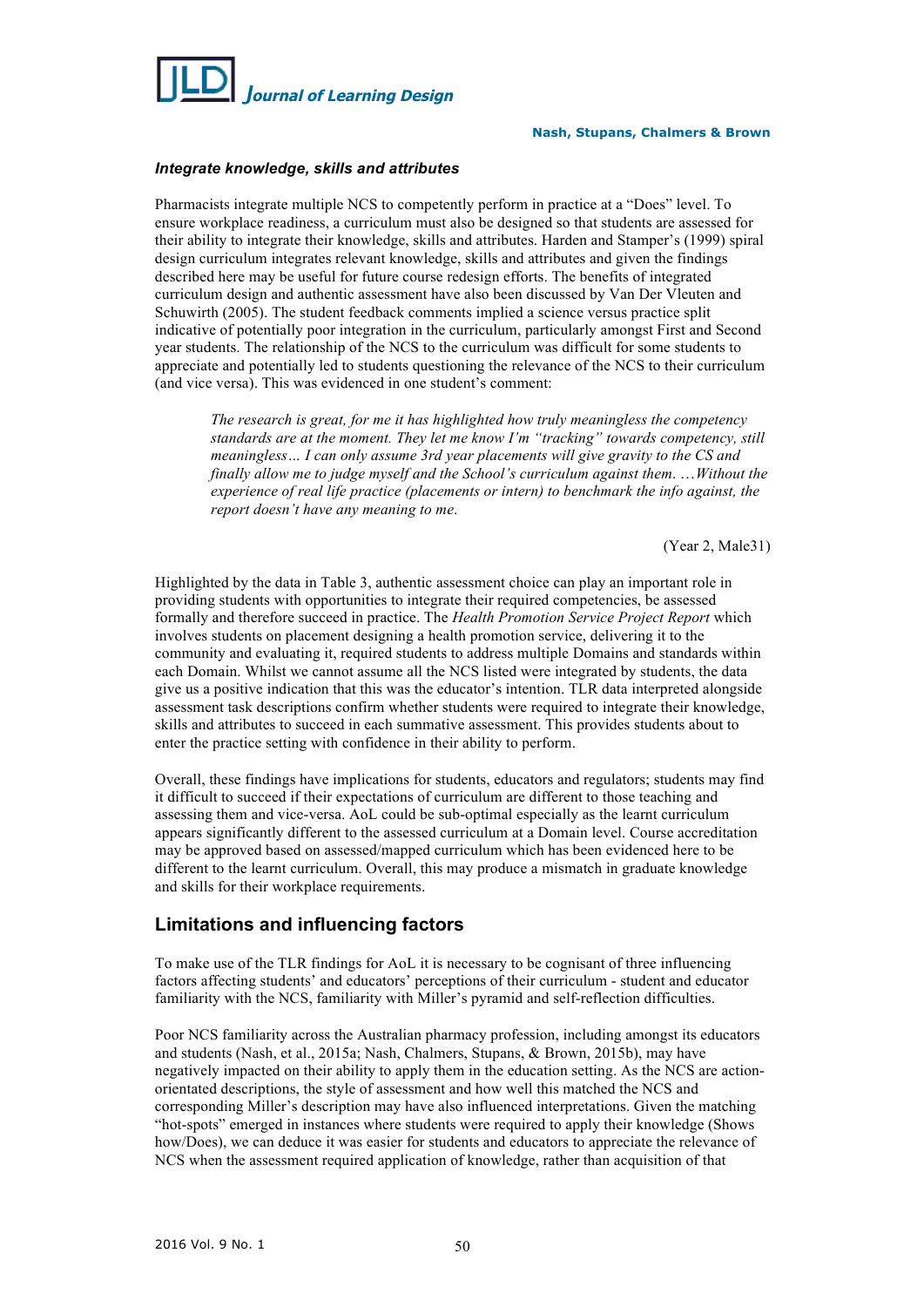

### *Integrate knowledge, skills and attributes*

Pharmacists integrate multiple NCS to competently perform in practice at a "Does" level. To ensure workplace readiness, a curriculum must also be designed so that students are assessed for their ability to integrate their knowledge, skills and attributes. Harden and Stamper's (1999) spiral design curriculum integrates relevant knowledge, skills and attributes and given the findings described here may be useful for future course redesign efforts. The benefits of integrated curriculum design and authentic assessment have also been discussed by Van Der Vleuten and Schuwirth (2005). The student feedback comments implied a science versus practice split indicative of potentially poor integration in the curriculum, particularly amongst First and Second year students. The relationship of the NCS to the curriculum was difficult for some students to appreciate and potentially led to students questioning the relevance of the NCS to their curriculum (and vice versa). This was evidenced in one student's comment:

*The research is great, for me it has highlighted how truly meaningless the competency standards are at the moment. They let me know I'm "tracking" towards competency, still meaningless… I can only assume 3rd year placements will give gravity to the CS and finally allow me to judge myself and the School's curriculum against them*. …*Without the experience of real life practice (placements or intern) to benchmark the info against, the report doesn't have any meaning to me*.

(Year 2, Male31)

Highlighted by the data in Table 3, authentic assessment choice can play an important role in providing students with opportunities to integrate their required competencies, be assessed formally and therefore succeed in practice. The *Health Promotion Service Project Report* which involves students on placement designing a health promotion service, delivering it to the community and evaluating it, required students to address multiple Domains and standards within each Domain. Whilst we cannot assume all the NCS listed were integrated by students, the data give us a positive indication that this was the educator's intention. TLR data interpreted alongside assessment task descriptions confirm whether students were required to integrate their knowledge, skills and attributes to succeed in each summative assessment. This provides students about to enter the practice setting with confidence in their ability to perform.

Overall, these findings have implications for students, educators and regulators; students may find it difficult to succeed if their expectations of curriculum are different to those teaching and assessing them and vice-versa. AoL could be sub-optimal especially as the learnt curriculum appears significantly different to the assessed curriculum at a Domain level. Course accreditation may be approved based on assessed/mapped curriculum which has been evidenced here to be different to the learnt curriculum. Overall, this may produce a mismatch in graduate knowledge and skills for their workplace requirements.

# **Limitations and influencing factors**

To make use of the TLR findings for AoL it is necessary to be cognisant of three influencing factors affecting students' and educators' perceptions of their curriculum - student and educator familiarity with the NCS, familiarity with Miller's pyramid and self-reflection difficulties.

Poor NCS familiarity across the Australian pharmacy profession, including amongst its educators and students (Nash, et al., 2015a; Nash, Chalmers, Stupans, & Brown, 2015b), may have negatively impacted on their ability to apply them in the education setting. As the NCS are actionorientated descriptions, the style of assessment and how well this matched the NCS and corresponding Miller's description may have also influenced interpretations. Given the matching "hot-spots" emerged in instances where students were required to apply their knowledge (Shows how/Does), we can deduce it was easier for students and educators to appreciate the relevance of NCS when the assessment required application of knowledge, rather than acquisition of that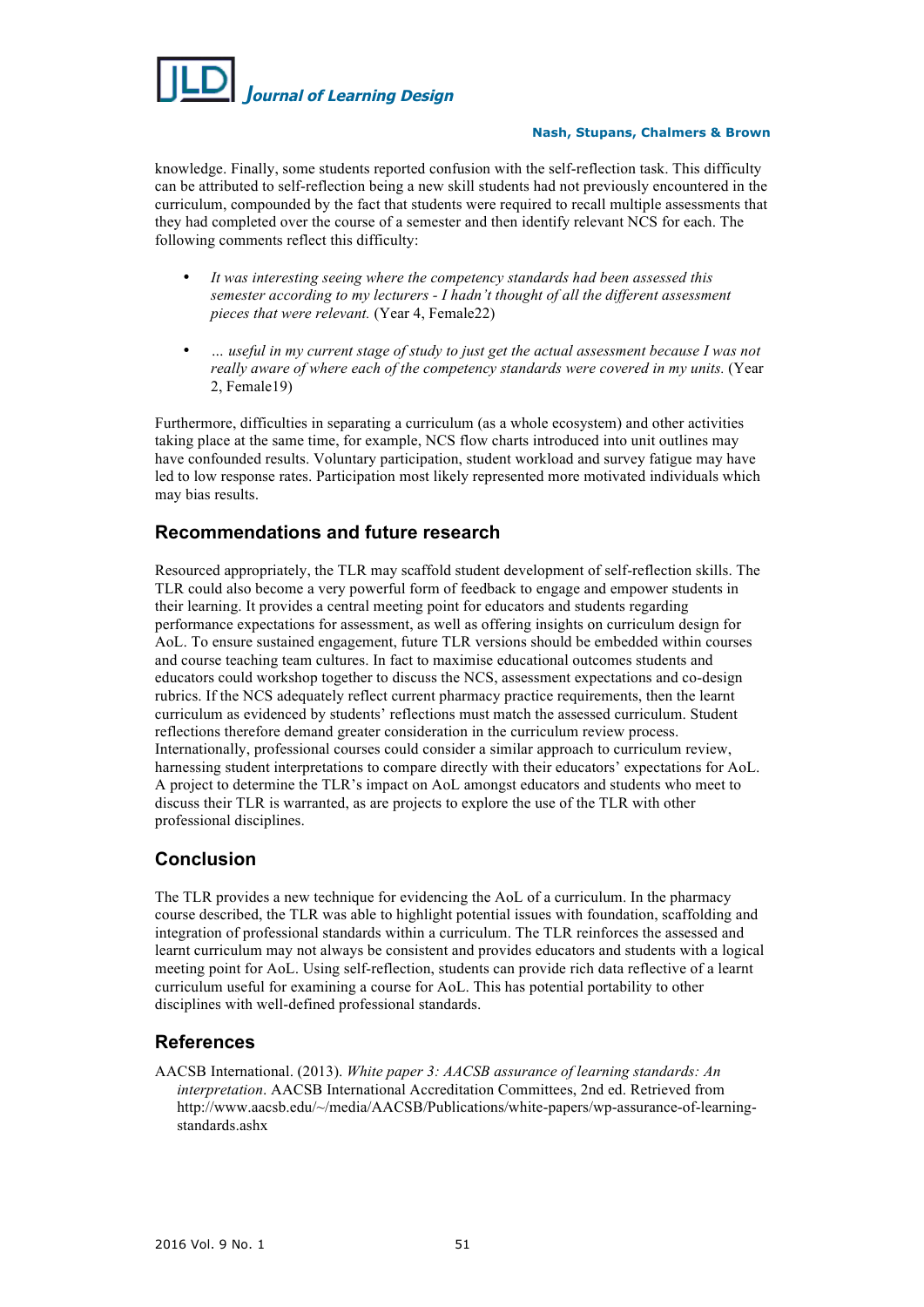

knowledge. Finally, some students reported confusion with the self-reflection task. This difficulty can be attributed to self-reflection being a new skill students had not previously encountered in the curriculum, compounded by the fact that students were required to recall multiple assessments that they had completed over the course of a semester and then identify relevant NCS for each. The following comments reflect this difficulty:

- *It was interesting seeing where the competency standards had been assessed this semester according to my lecturers - I hadn't thought of all the different assessment pieces that were relevant.* (Year 4, Female22)
- *… useful in my current stage of study to just get the actual assessment because I was not really aware of where each of the competency standards were covered in my units.* (Year 2, Female19)

Furthermore, difficulties in separating a curriculum (as a whole ecosystem) and other activities taking place at the same time, for example, NCS flow charts introduced into unit outlines may have confounded results. Voluntary participation, student workload and survey fatigue may have led to low response rates. Participation most likely represented more motivated individuals which may bias results.

# **Recommendations and future research**

Resourced appropriately, the TLR may scaffold student development of self-reflection skills. The TLR could also become a very powerful form of feedback to engage and empower students in their learning. It provides a central meeting point for educators and students regarding performance expectations for assessment, as well as offering insights on curriculum design for AoL. To ensure sustained engagement, future TLR versions should be embedded within courses and course teaching team cultures. In fact to maximise educational outcomes students and educators could workshop together to discuss the NCS, assessment expectations and co-design rubrics. If the NCS adequately reflect current pharmacy practice requirements, then the learnt curriculum as evidenced by students' reflections must match the assessed curriculum. Student reflections therefore demand greater consideration in the curriculum review process. Internationally, professional courses could consider a similar approach to curriculum review, harnessing student interpretations to compare directly with their educators' expectations for AoL. A project to determine the TLR's impact on AoL amongst educators and students who meet to discuss their TLR is warranted, as are projects to explore the use of the TLR with other professional disciplines.

# **Conclusion**

The TLR provides a new technique for evidencing the AoL of a curriculum. In the pharmacy course described, the TLR was able to highlight potential issues with foundation, scaffolding and integration of professional standards within a curriculum. The TLR reinforces the assessed and learnt curriculum may not always be consistent and provides educators and students with a logical meeting point for AoL. Using self-reflection, students can provide rich data reflective of a learnt curriculum useful for examining a course for AoL. This has potential portability to other disciplines with well-defined professional standards.

# **References**

AACSB International. (2013). *White paper 3: AACSB assurance of learning standards: An interpretation*. AACSB International Accreditation Committees, 2nd ed. Retrieved from http://www.aacsb.edu/~/media/AACSB/Publications/white-papers/wp-assurance-of-learningstandards.ashx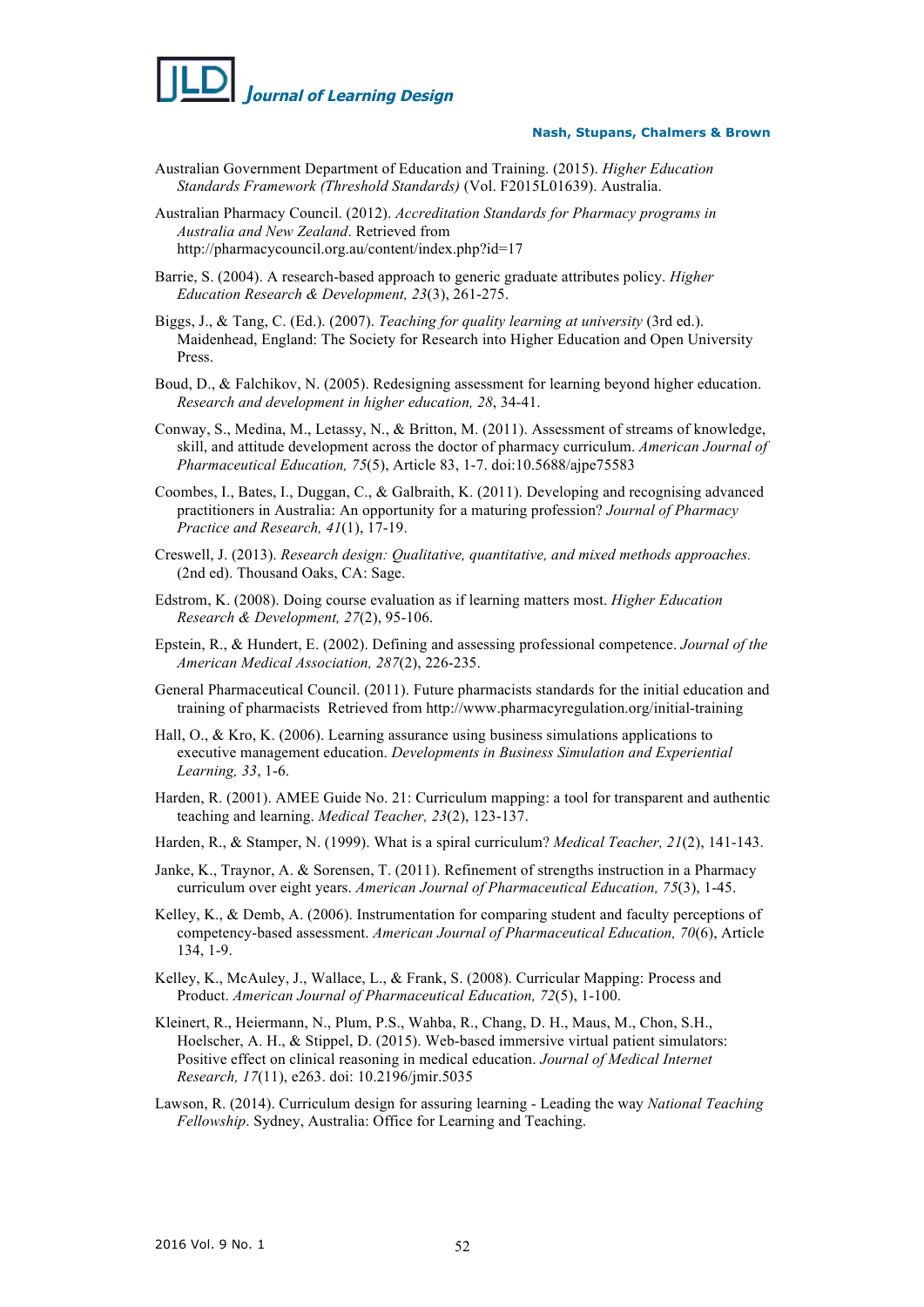

- Australian Government Department of Education and Training. (2015). *Higher Education Standards Framework (Threshold Standards)* (Vol. F2015L01639). Australia.
- Australian Pharmacy Council. (2012). *Accreditation Standards for Pharmacy programs in Australia and New Zealand*. Retrieved from http://pharmacycouncil.org.au/content/index.php?id=17
- Barrie, S. (2004). A research-based approach to generic graduate attributes policy. *Higher Education Research & Development, 23*(3), 261-275.
- Biggs, J., & Tang, C. (Ed.). (2007). *Teaching for quality learning at university* (3rd ed.). Maidenhead, England: The Society for Research into Higher Education and Open University Press.
- Boud, D., & Falchikov, N. (2005). Redesigning assessment for learning beyond higher education. *Research and development in higher education, 28*, 34-41.
- Conway, S., Medina, M., Letassy, N., & Britton, M. (2011). Assessment of streams of knowledge, skill, and attitude development across the doctor of pharmacy curriculum. *American Journal of Pharmaceutical Education, 75*(5), Article 83, 1-7. doi:10.5688/ajpe75583
- Coombes, I., Bates, I., Duggan, C., & Galbraith, K. (2011). Developing and recognising advanced practitioners in Australia: An opportunity for a maturing profession? *Journal of Pharmacy Practice and Research, 41*(1), 17-19.
- Creswell, J. (2013). *Research design: Qualitative, quantitative, and mixed methods approaches.* (2nd ed). Thousand Oaks, CA: Sage.
- Edstrom, K. (2008). Doing course evaluation as if learning matters most. *Higher Education Research & Development, 27*(2), 95-106.
- Epstein, R., & Hundert, E. (2002). Defining and assessing professional competence. *Journal of the American Medical Association, 287*(2), 226-235.
- General Pharmaceutical Council. (2011). Future pharmacists standards for the initial education and training of pharmacists Retrieved from http://www.pharmacyregulation.org/initial-training
- Hall, O., & Kro, K. (2006). Learning assurance using business simulations applications to executive management education. *Developments in Business Simulation and Experiential Learning, 33*, 1-6.
- Harden, R. (2001). AMEE Guide No. 21: Curriculum mapping: a tool for transparent and authentic teaching and learning. *Medical Teacher, 23*(2), 123-137.
- Harden, R., & Stamper, N. (1999). What is a spiral curriculum? *Medical Teacher, 21*(2), 141-143.
- Janke, K., Traynor, A. & Sorensen, T. (2011). Refinement of strengths instruction in a Pharmacy curriculum over eight years. *American Journal of Pharmaceutical Education, 75*(3), 1-45.
- Kelley, K., & Demb, A. (2006). Instrumentation for comparing student and faculty perceptions of competency-based assessment. *American Journal of Pharmaceutical Education, 70*(6), Article 134, 1-9.
- Kelley, K., McAuley, J., Wallace, L., & Frank, S. (2008). Curricular Mapping: Process and Product. *American Journal of Pharmaceutical Education, 72*(5), 1-100.
- Kleinert, R., Heiermann, N., Plum, P.S., Wahba, R., Chang, D. H., Maus, M., Chon, S.H., Hoelscher, A. H., & Stippel, D. (2015). Web-based immersive virtual patient simulators: Positive effect on clinical reasoning in medical education. *Journal of Medical Internet Research, 17*(11), e263. doi: 10.2196/jmir.5035
- Lawson, R. (2014). Curriculum design for assuring learning Leading the way *National Teaching Fellowship*. Sydney, Australia: Office for Learning and Teaching.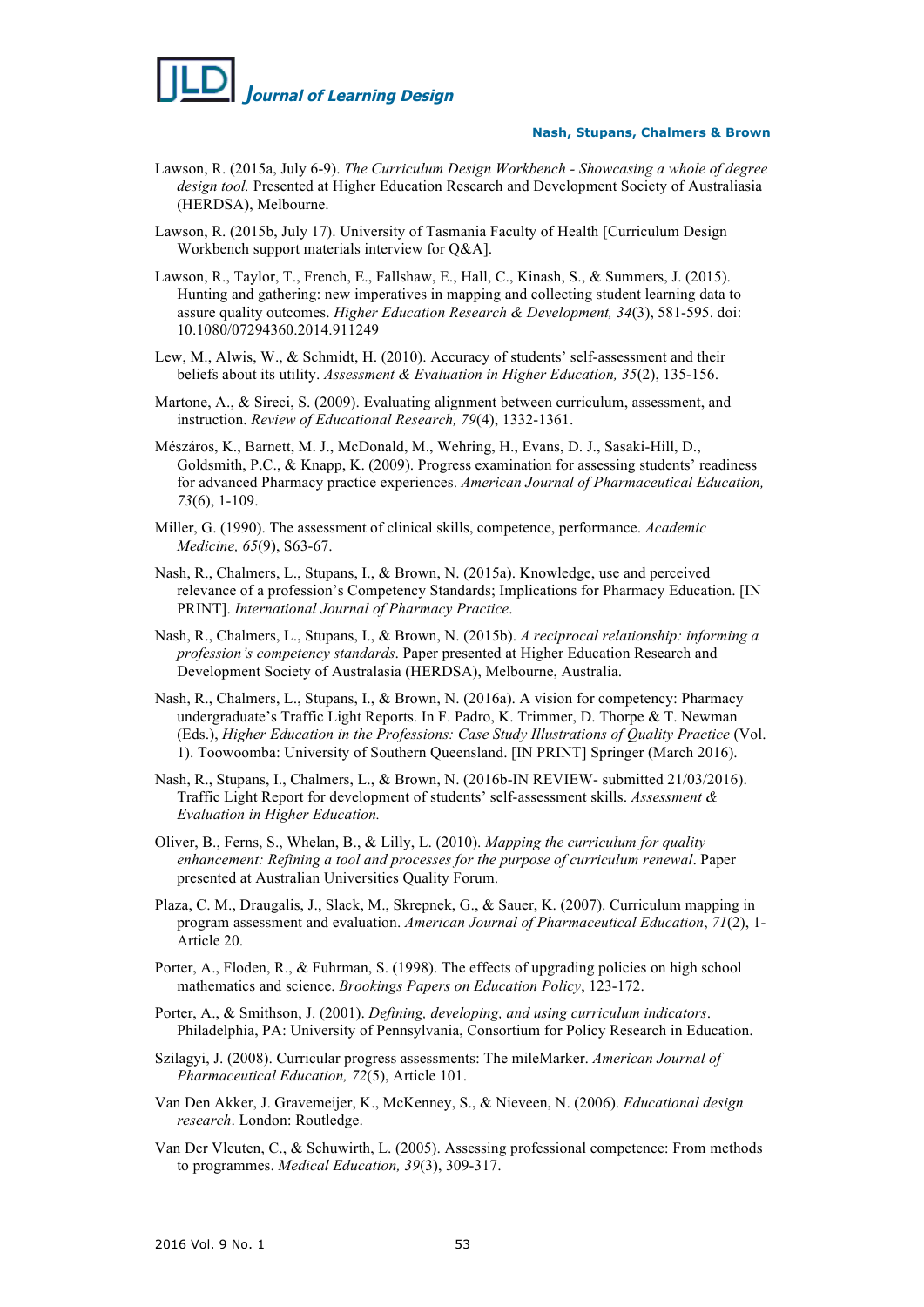

- Lawson, R. (2015a, July 6-9). *The Curriculum Design Workbench - Showcasing a whole of degree design tool.* Presented at Higher Education Research and Development Society of Australiasia (HERDSA), Melbourne.
- Lawson, R. (2015b, July 17). University of Tasmania Faculty of Health [Curriculum Design Workbench support materials interview for Q&A].
- Lawson, R., Taylor, T., French, E., Fallshaw, E., Hall, C., Kinash, S., & Summers, J. (2015). Hunting and gathering: new imperatives in mapping and collecting student learning data to assure quality outcomes. *Higher Education Research & Development, 34*(3), 581-595. doi: 10.1080/07294360.2014.911249
- Lew, M., Alwis, W., & Schmidt, H. (2010). Accuracy of students' self-assessment and their beliefs about its utility. *Assessment & Evaluation in Higher Education, 35*(2), 135-156.
- Martone, A., & Sireci, S. (2009). Evaluating alignment between curriculum, assessment, and instruction. *Review of Educational Research, 79*(4), 1332-1361.
- Mészáros, K., Barnett, M. J., McDonald, M., Wehring, H., Evans, D. J., Sasaki-Hill, D., Goldsmith, P.C., & Knapp, K. (2009). Progress examination for assessing students' readiness for advanced Pharmacy practice experiences. *American Journal of Pharmaceutical Education, 73*(6), 1-109.
- Miller, G. (1990). The assessment of clinical skills, competence, performance. *Academic Medicine, 65*(9), S63-67.
- Nash, R., Chalmers, L., Stupans, I., & Brown, N. (2015a). Knowledge, use and perceived relevance of a profession's Competency Standards; Implications for Pharmacy Education. [IN PRINT]. *International Journal of Pharmacy Practice*.
- Nash, R., Chalmers, L., Stupans, I., & Brown, N. (2015b). *A reciprocal relationship: informing a profession's competency standards*. Paper presented at Higher Education Research and Development Society of Australasia (HERDSA), Melbourne, Australia.
- Nash, R., Chalmers, L., Stupans, I., & Brown, N. (2016a). A vision for competency: Pharmacy undergraduate's Traffic Light Reports. In F. Padro, K. Trimmer, D. Thorpe & T. Newman (Eds.), *Higher Education in the Professions: Case Study Illustrations of Quality Practice* (Vol. 1). Toowoomba: University of Southern Queensland. [IN PRINT] Springer (March 2016).
- Nash, R., Stupans, I., Chalmers, L., & Brown, N. (2016b-IN REVIEW- submitted 21/03/2016). Traffic Light Report for development of students' self-assessment skills. *Assessment & Evaluation in Higher Education.*
- Oliver, B., Ferns, S., Whelan, B., & Lilly, L. (2010). *Mapping the curriculum for quality enhancement: Refining a tool and processes for the purpose of curriculum renewal*. Paper presented at Australian Universities Quality Forum.
- Plaza, C. M., Draugalis, J., Slack, M., Skrepnek, G., & Sauer, K. (2007). Curriculum mapping in program assessment and evaluation. *American Journal of Pharmaceutical Education*, *71*(2), 1- Article 20.
- Porter, A., Floden, R., & Fuhrman, S. (1998). The effects of upgrading policies on high school mathematics and science. *Brookings Papers on Education Policy*, 123-172.
- Porter, A., & Smithson, J. (2001). *Defining, developing, and using curriculum indicators*. Philadelphia, PA: University of Pennsylvania, Consortium for Policy Research in Education.
- Szilagyi, J. (2008). Curricular progress assessments: The mileMarker. *American Journal of Pharmaceutical Education, 72*(5), Article 101.
- Van Den Akker, J. Gravemeijer, K., McKenney, S., & Nieveen, N. (2006). *Educational design research*. London: Routledge.
- Van Der Vleuten, C., & Schuwirth, L. (2005). Assessing professional competence: From methods to programmes. *Medical Education, 39*(3), 309-317.